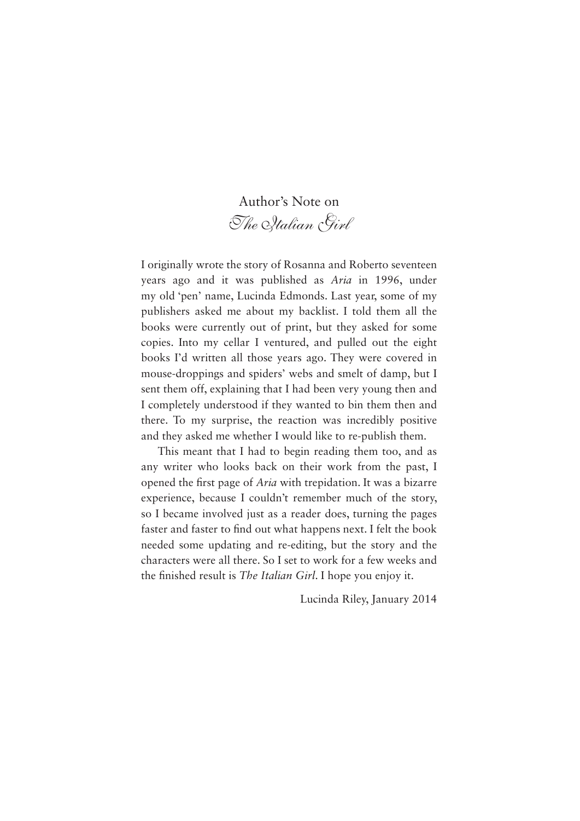Author's Note on *The Italian Girl*

I originally wrote the story of Rosanna and Roberto seventeen years ago and it was published as *Aria* in 1996, under my old 'pen' name, Lucinda Edmonds. Last year, some of my publishers asked me about my backlist. I told them all the books were currently out of print, but they asked for some copies. Into my cellar I ventured, and pulled out the eight books I'd written all those years ago. They were covered in mouse-droppings and spiders' webs and smelt of damp, but I sent them off, explaining that I had been very young then and I completely understood if they wanted to bin them then and there. To my surprise, the reaction was incredibly positive and they asked me whether I would like to re-publish them.

This meant that I had to begin reading them too, and as any writer who looks back on their work from the past, I opened the first page of *Aria* with trepidation. It was a bizarre experience, because I couldn't remember much of the story, so I became involved just as a reader does, turning the pages faster and faster to find out what happens next. I felt the book needed some updating and re-editing, but the story and the characters were all there. So I set to work for a few weeks and the finished result is *The Italian Girl*. I hope you enjoy it.

Lucinda Riley, January 2014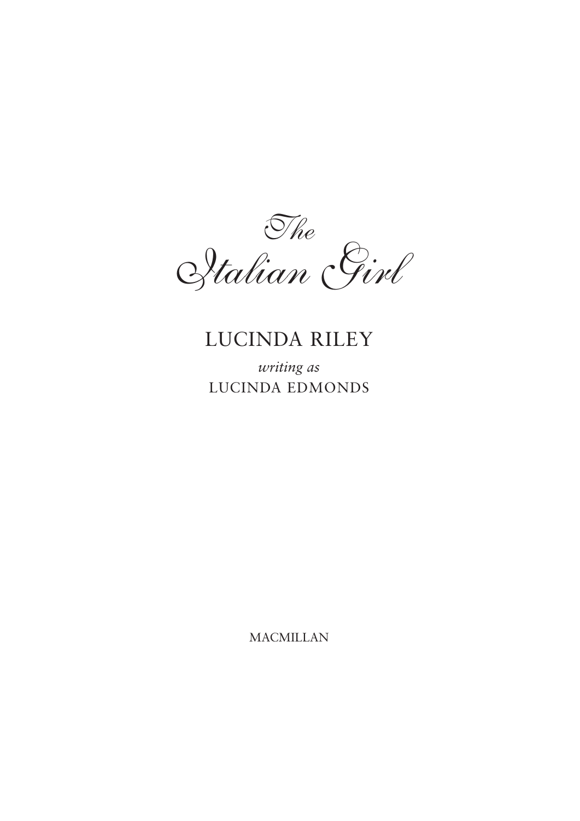

*writing as*  LUCINDA EDMONDS

MACMILLAN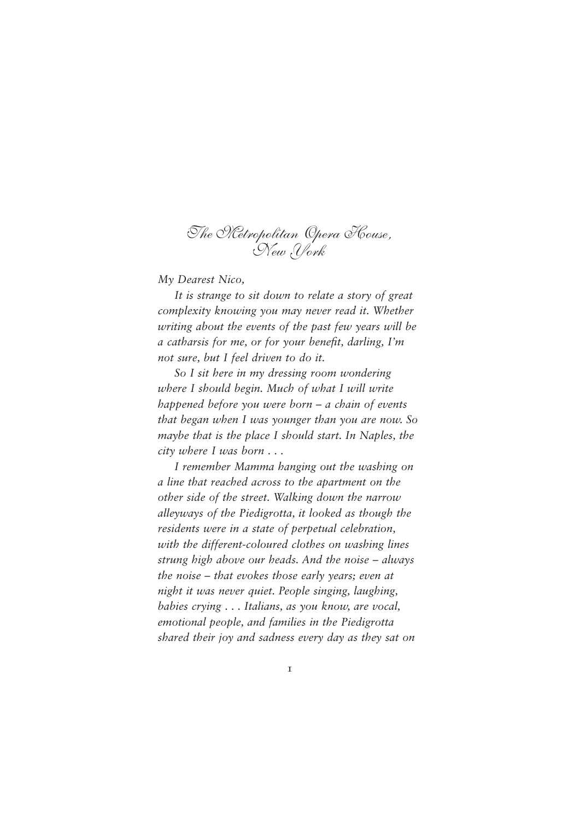# *The Metropolitan Opera House, New York*

*My Dearest Nico,*

*It is strange to sit down to relate a story of great complexity knowing you may never read it. Whether writing about the events of the past few years will be a catharsis for me, or for your benefit, darling, I'm not sure, but I feel driven to do it.*

*So I sit here in my dressing room wondering where I should begin. Much of what I will write happened before you were born – a chain of events that began when I was younger than you are now. So maybe that is the place I should start. In Naples, the city where I was born . . .*

*I remember Mamma hanging out the washing on a line that reached across to the apartment on the other side of the street. Walking down the narrow alleyways of the Piedigrotta, it looked as though the residents were in a state of perpetual celebration, with the different-coloured clothes on washing lines strung high above our heads. And the noise – always the noise – that evokes those early years; even at night it was never quiet. People singing, laughing, babies crying . . . Italians, as you know, are vocal, emotional people, and families in the Piedigrotta shared their joy and sadness every day as they sat on*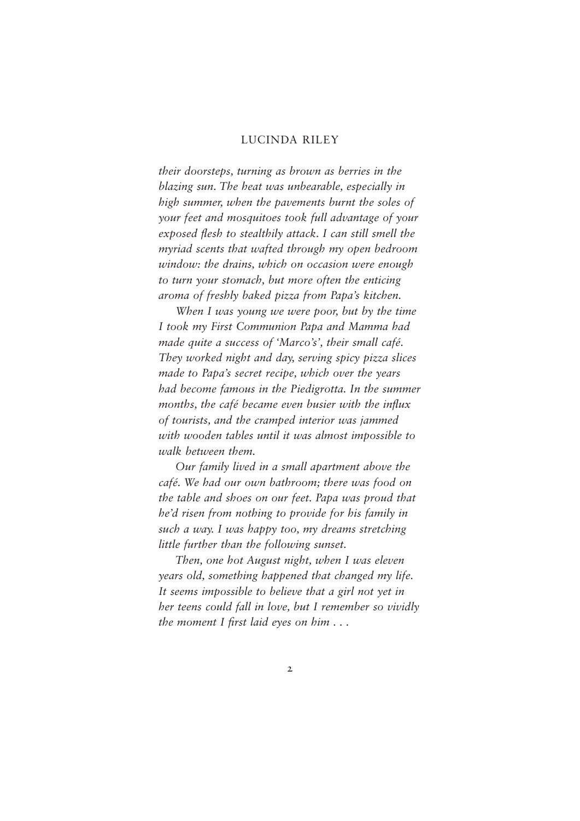*their doorsteps, turning as brown as berries in the blazing sun. The heat was unbearable, especially in high summer, when the pavements burnt the soles of your feet and mosquitoes took full advantage of your exposed flesh to stealthily attack. I can still smell the myriad scents that wafted through my open bedroom window: the drains, which on occasion were enough to turn your stomach, but more often the enticing aroma of freshly baked pizza from Papa's kitchen.*

*When I was young we were poor, but by the time I took my First Communion Papa and Mamma had made quite a success of 'Marco's', their small café. They worked night and day, serving spicy pizza slices made to Papa's secret recipe, which over the years had become famous in the Piedigrotta. In the summer*  months, the café became even busier with the influx *of tourists, and the cramped interior was jammed with wooden tables until it was almost impossible to walk between them.*

*Our family lived in a small apartment above the café. We had our own bathroom; there was food on the table and shoes on our feet. Papa was proud that he'd risen from nothing to provide for his family in such a way. I was happy too, my dreams stretching little further than the following sunset.*

*Then, one hot August night, when I was eleven years old, something happened that changed my life. It seems impossible to believe that a girl not yet in her teens could fall in love, but I remember so vividly the moment I first laid eyes on him ...*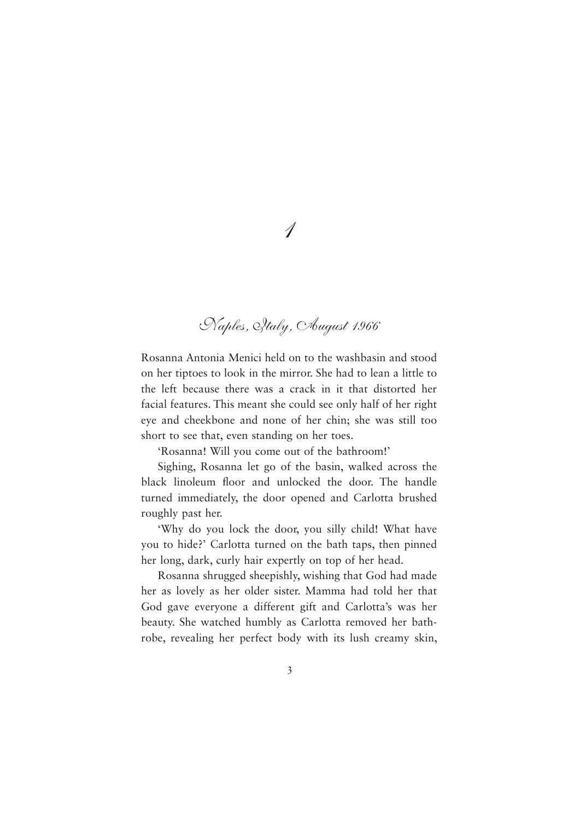# *Naples, Italy, August 1966*

Rosanna Antonia Menici held on to the washbasin and stood on her tiptoes to look in the mirror. She had to lean a little to the left because there was a crack in it that distorted her facial features. This meant she could see only half of her right eye and cheekbone and none of her chin; she was still too short to see that, even standing on her toes.

'Rosanna! Will you come out of the bathroom!'

Sighing, Rosanna let go of the basin, walked across the black linoleum floor and unlocked the door. The handle turned immediately, the door opened and Carlotta brushed roughly past her.

'Why do you lock the door, you silly child! What have you to hide?' Carlotta turned on the bath taps, then pinned her long, dark, curly hair expertly on top of her head.

Rosanna shrugged sheepishly, wishing that God had made her as lovely as her older sister. Mamma had told her that God gave everyone a different gift and Carlotta's was her beauty. She watched humbly as Carlotta removed her bathrobe, revealing her perfect body with its lush creamy skin,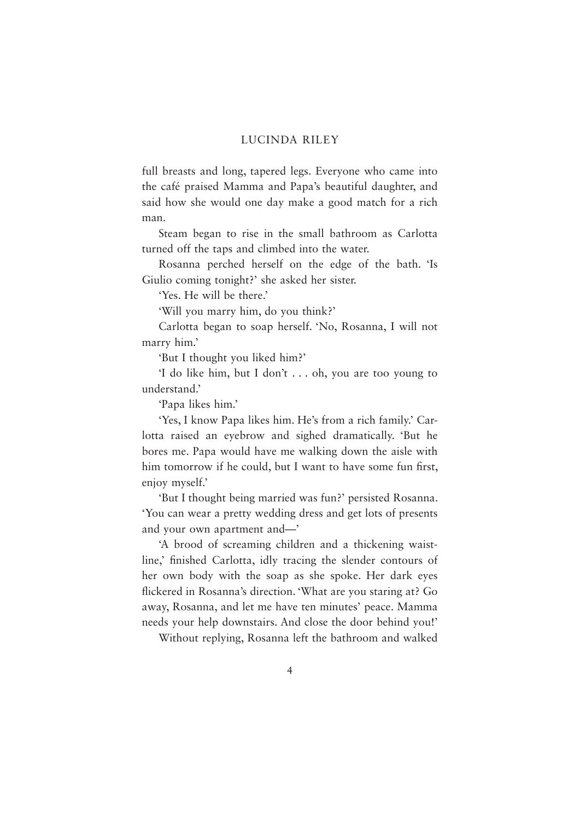full breasts and long, tapered legs. Everyone who came into the café praised Mamma and Papa's beautiful daughter, and said how she would one day make a good match for a rich man.

Steam began to rise in the small bathroom as Carlotta turned off the taps and climbed into the water.

Rosanna perched herself on the edge of the bath. 'Is Giulio coming tonight?' she asked her sister.

'Yes. He will be there.'

'Will you marry him, do you think?'

Carlotta began to soap herself. 'No, Rosanna, I will not marry him.'

'But I thought you liked him?'

'I do like him, but I don't . . . oh, you are too young to understand.'

'Papa likes him.'

'Yes, I know Papa likes him. He's from a rich family.' Carlotta raised an eyebrow and sighed dramatically. 'But he bores me. Papa would have me walking down the aisle with him tomorrow if he could, but I want to have some fun first, enjoy myself.'

'But I thought being married was fun?' persisted Rosanna. 'You can wear a pretty wedding dress and get lots of presents and your own apartment and—'

'A brood of screaming children and a thickening waistline,' finished Carlotta, idly tracing the slender contours of her own body with the soap as she spoke. Her dark eyes flickered in Rosanna's direction. 'What are you staring at? Go away, Rosanna, and let me have ten minutes' peace. Mamma needs your help downstairs. And close the door behind you!'

Without replying, Rosanna left the bathroom and walked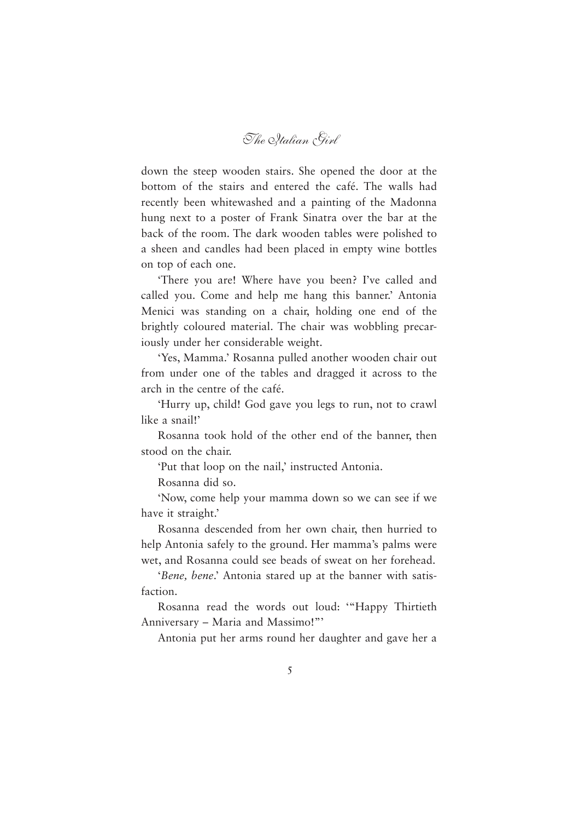*The Italian Girl*

down the steep wooden stairs. She opened the door at the bottom of the stairs and entered the café. The walls had recently been whitewashed and a painting of the Madonna hung next to a poster of Frank Sinatra over the bar at the back of the room. The dark wooden tables were polished to a sheen and candles had been placed in empty wine bottles on top of each one.

'There you are! Where have you been? I've called and called you. Come and help me hang this banner.' Antonia Menici was standing on a chair, holding one end of the brightly coloured material. The chair was wobbling precariously under her considerable weight.

'Yes, Mamma.' Rosanna pulled another wooden chair out from under one of the tables and dragged it across to the arch in the centre of the café.

'Hurry up, child! God gave you legs to run, not to crawl like a snail!'

Rosanna took hold of the other end of the banner, then stood on the chair.

'Put that loop on the nail,' instructed Antonia.

Rosanna did so.

'Now, come help your mamma down so we can see if we have it straight.'

Rosanna descended from her own chair, then hurried to help Antonia safely to the ground. Her mamma's palms were wet, and Rosanna could see beads of sweat on her forehead.

'*Bene, bene*.' Antonia stared up at the banner with satisfaction.

Rosanna read the words out loud: '"Happy Thirtieth Anniversary – Maria and Massimo!"'

Antonia put her arms round her daughter and gave her a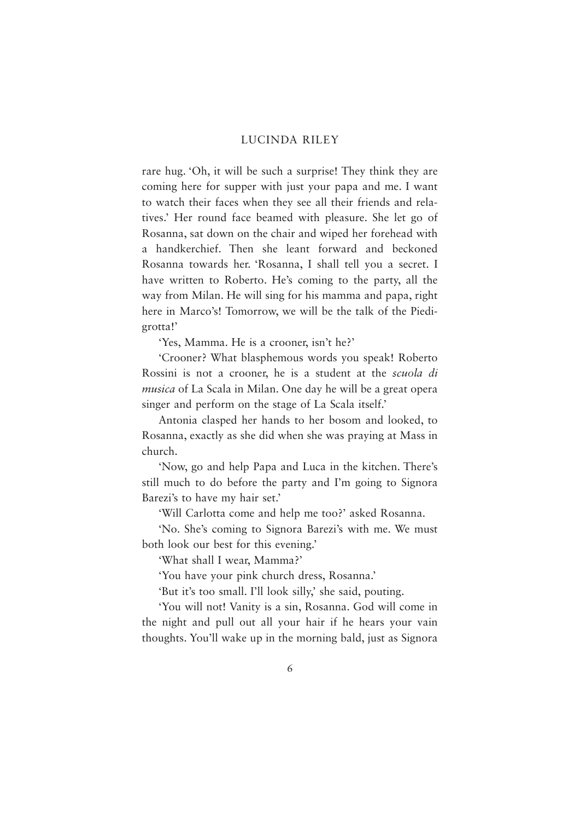rare hug. 'Oh, it will be such a surprise! They think they are coming here for supper with just your papa and me. I want to watch their faces when they see all their friends and relatives.' Her round face beamed with pleasure. She let go of Rosanna, sat down on the chair and wiped her forehead with a handkerchief. Then she leant forward and beckoned Rosanna towards her. 'Rosanna, I shall tell you a secret. I have written to Roberto. He's coming to the party, all the way from Milan. He will sing for his mamma and papa, right here in Marco's! Tomorrow, we will be the talk of the Piedigrotta!'

'Yes, Mamma. He is a crooner, isn't he?'

'Crooner? What blasphemous words you speak! Roberto Rossini is not a crooner, he is a student at the *scuola di musica* of La Scala in Milan. One day he will be a great opera singer and perform on the stage of La Scala itself.'

Antonia clasped her hands to her bosom and looked, to Rosanna, exactly as she did when she was praying at Mass in church.

'Now, go and help Papa and Luca in the kitchen. There's still much to do before the party and I'm going to Signora Barezi's to have my hair set.'

'Will Carlotta come and help me too?' asked Rosanna.

'No. She's coming to Signora Barezi's with me. We must both look our best for this evening.'

'What shall I wear, Mamma?'

'You have your pink church dress, Rosanna.'

'But it's too small. I'll look silly,' she said, pouting.

'You will not! Vanity is a sin, Rosanna. God will come in the night and pull out all your hair if he hears your vain thoughts. You'll wake up in the morning bald, just as Signora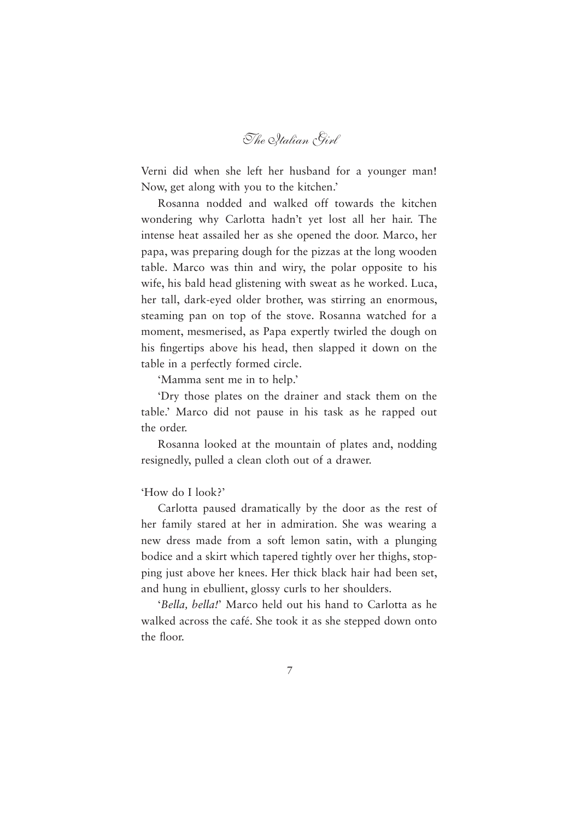*The Italian Girl*

Verni did when she left her husband for a younger man! Now, get along with you to the kitchen.'

Rosanna nodded and walked off towards the kitchen wondering why Carlotta hadn't yet lost all her hair. The intense heat assailed her as she opened the door. Marco, her papa, was preparing dough for the pizzas at the long wooden table. Marco was thin and wiry, the polar opposite to his wife, his bald head glistening with sweat as he worked. Luca, her tall, dark-eyed older brother, was stirring an enormous, steaming pan on top of the stove. Rosanna watched for a moment, mesmerised, as Papa expertly twirled the dough on his fingertips above his head, then slapped it down on the table in a perfectly formed circle.

'Mamma sent me in to help.'

'Dry those plates on the drainer and stack them on the table.' Marco did not pause in his task as he rapped out the order.

Rosanna looked at the mountain of plates and, nodding resignedly, pulled a clean cloth out of a drawer.

#### 'How do I look?'

Carlotta paused dramatically by the door as the rest of her family stared at her in admiration. She was wearing a new dress made from a soft lemon satin, with a plunging bodice and a skirt which tapered tightly over her thighs, stopping just above her knees. Her thick black hair had been set, and hung in ebullient, glossy curls to her shoulders.

'*Bella, bella!*' Marco held out his hand to Carlotta as he walked across the café. She took it as she stepped down onto the floor.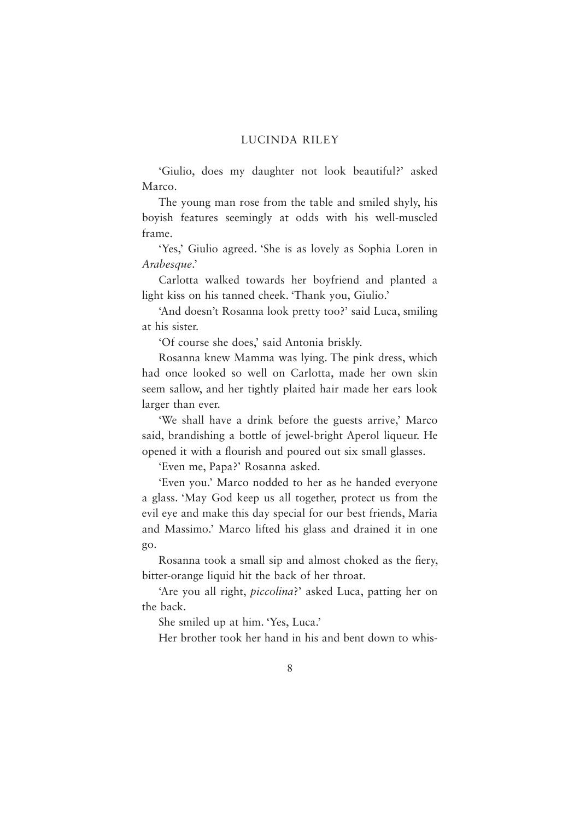'Giulio, does my daughter not look beautiful?' asked Marco.

The young man rose from the table and smiled shyly, his boyish features seemingly at odds with his well-muscled frame.

'Yes,' Giulio agreed. 'She is as lovely as Sophia Loren in *Arabesque*.'

Carlotta walked towards her boyfriend and planted a light kiss on his tanned cheek. 'Thank you, Giulio.'

'And doesn't Rosanna look pretty too?' said Luca, smiling at his sister.

'Of course she does,' said Antonia briskly.

Rosanna knew Mamma was lying. The pink dress, which had once looked so well on Carlotta, made her own skin seem sallow, and her tightly plaited hair made her ears look larger than ever.

'We shall have a drink before the guests arrive,' Marco said, brandishing a bottle of jewel-bright Aperol liqueur. He opened it with a flourish and poured out six small glasses.

'Even me, Papa?' Rosanna asked.

'Even you.' Marco nodded to her as he handed everyone a glass. 'May God keep us all together, protect us from the evil eye and make this day special for our best friends, Maria and Massimo.' Marco lifted his glass and drained it in one go.

Rosanna took a small sip and almost choked as the fiery, bitter-orange liquid hit the back of her throat.

'Are you all right, *piccolina*?' asked Luca, patting her on the back.

She smiled up at him. 'Yes, Luca.'

Her brother took her hand in his and bent down to whis-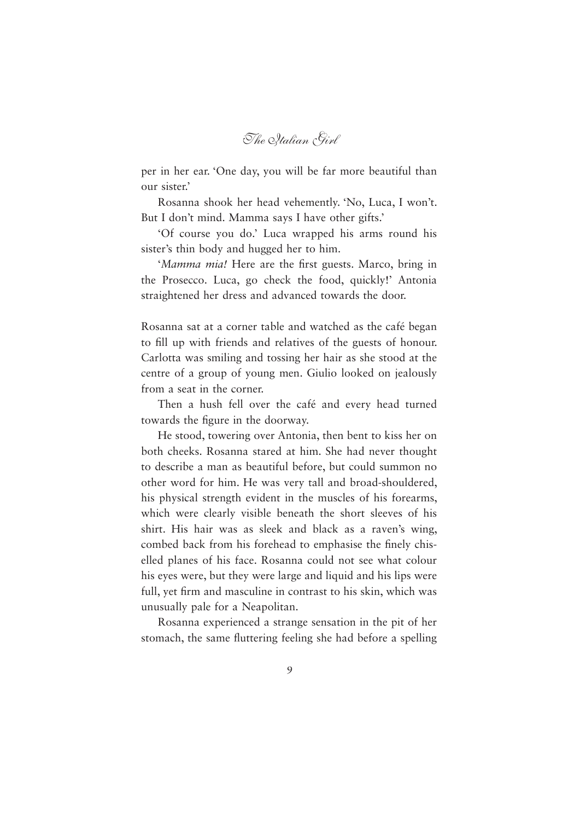*The Italian Girl*

per in her ear. 'One day, you will be far more beautiful than our sister.'

Rosanna shook her head vehemently. 'No, Luca, I won't. But I don't mind. Mamma says I have other gifts.'

'Of course you do.' Luca wrapped his arms round his sister's thin body and hugged her to him.

'*Mamma mia!* Here are the first guests. Marco, bring in the Prosecco. Luca, go check the food, quickly!' Antonia straightened her dress and advanced towards the door.

Rosanna sat at a corner table and watched as the café began to fill up with friends and relatives of the guests of honour. Carlotta was smiling and tossing her hair as she stood at the centre of a group of young men. Giulio looked on jealously from a seat in the corner.

Then a hush fell over the café and every head turned towards the figure in the doorway.

He stood, towering over Antonia, then bent to kiss her on both cheeks. Rosanna stared at him. She had never thought to describe a man as beautiful before, but could summon no other word for him. He was very tall and broad-shouldered, his physical strength evident in the muscles of his forearms, which were clearly visible beneath the short sleeves of his shirt. His hair was as sleek and black as a raven's wing, combed back from his forehead to emphasise the finely chiselled planes of his face. Rosanna could not see what colour his eyes were, but they were large and liquid and his lips were full, yet firm and masculine in contrast to his skin, which was unusually pale for a Neapolitan.

Rosanna experienced a strange sensation in the pit of her stomach, the same fluttering feeling she had before a spelling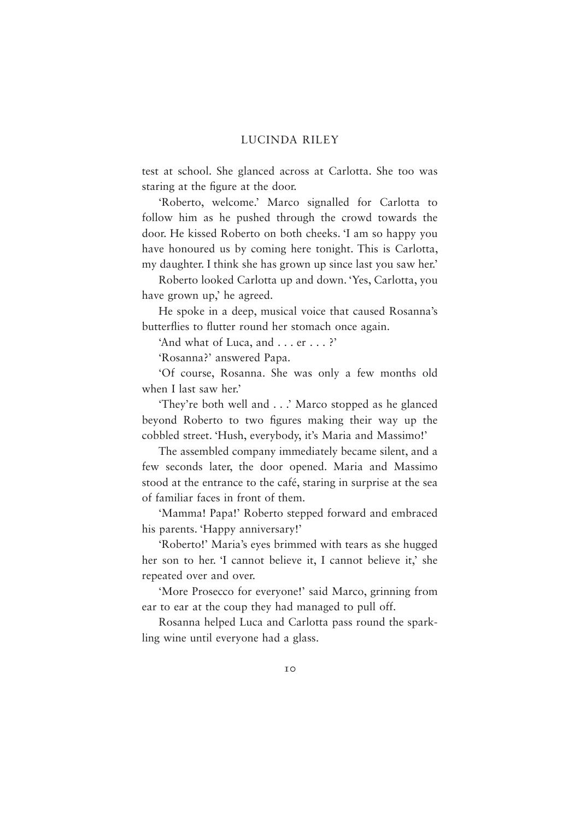test at school. She glanced across at Carlotta. She too was staring at the figure at the door.

'Roberto, welcome.' Marco signalled for Carlotta to follow him as he pushed through the crowd towards the door. He kissed Roberto on both cheeks. 'I am so happy you have honoured us by coming here tonight. This is Carlotta, my daughter. I think she has grown up since last you saw her.'

Roberto looked Carlotta up and down. 'Yes, Carlotta, you have grown up,' he agreed.

He spoke in a deep, musical voice that caused Rosanna's butterflies to flutter round her stomach once again.

'And what of Luca, and . . . er . . . ?'

'Rosanna?' answered Papa.

'Of course, Rosanna. She was only a few months old when I last saw her.'

'They're both well and . . .' Marco stopped as he glanced beyond Roberto to two figures making their way up the cobbled street. 'Hush, everybody, it's Maria and Massimo!'

The assembled company immediately became silent, and a few seconds later, the door opened. Maria and Massimo stood at the entrance to the café, staring in surprise at the sea of familiar faces in front of them.

'Mamma! Papa!' Roberto stepped forward and embraced his parents. 'Happy anniversary!'

'Roberto!' Maria's eyes brimmed with tears as she hugged her son to her. 'I cannot believe it, I cannot believe it,' she repeated over and over.

'More Prosecco for everyone!' said Marco, grinning from ear to ear at the coup they had managed to pull off.

Rosanna helped Luca and Carlotta pass round the sparkling wine until everyone had a glass.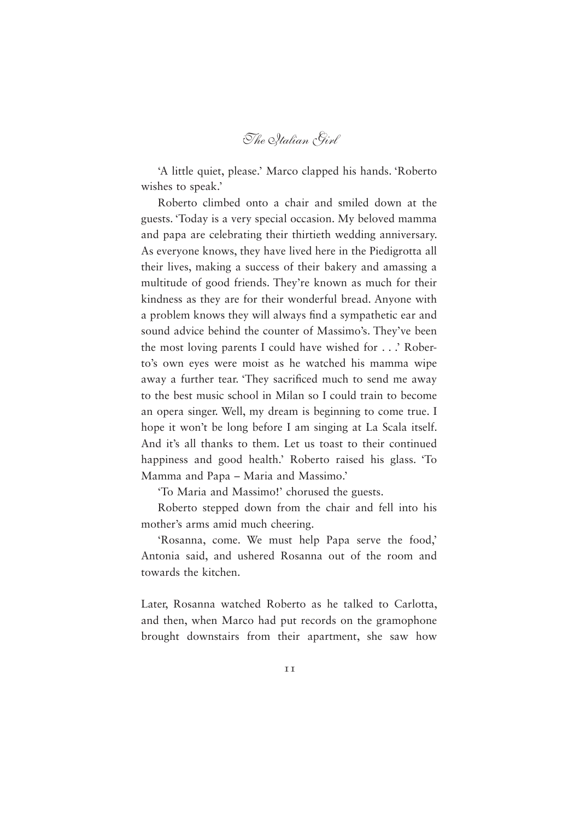*The Italian Girl*

'A little quiet, please.' Marco clapped his hands. 'Roberto wishes to speak.'

Roberto climbed onto a chair and smiled down at the guests. 'Today is a very special occasion. My beloved mamma and papa are celebrating their thirtieth wedding anniversary. As everyone knows, they have lived here in the Piedigrotta all their lives, making a success of their bakery and amassing a multitude of good friends. They're known as much for their kindness as they are for their wonderful bread. Anyone with a problem knows they will always find a sympathetic ear and sound advice behind the counter of Massimo's. They've been the most loving parents I could have wished for . . .' Roberto's own eyes were moist as he watched his mamma wipe away a further tear. They sacrificed much to send me away to the best music school in Milan so I could train to become an opera singer. Well, my dream is beginning to come true. I hope it won't be long before I am singing at La Scala itself. And it's all thanks to them. Let us toast to their continued happiness and good health.' Roberto raised his glass. 'To Mamma and Papa – Maria and Massimo.'

'To Maria and Massimo!' chorused the guests.

Roberto stepped down from the chair and fell into his mother's arms amid much cheering.

'Rosanna, come. We must help Papa serve the food,' Antonia said, and ushered Rosanna out of the room and towards the kitchen.

Later, Rosanna watched Roberto as he talked to Carlotta, and then, when Marco had put records on the gramophone brought downstairs from their apartment, she saw how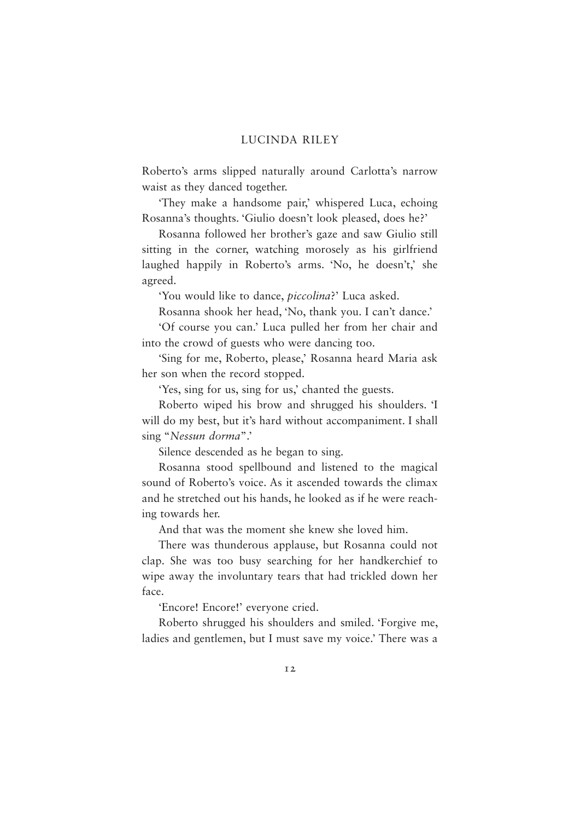Roberto's arms slipped naturally around Carlotta's narrow waist as they danced together.

'They make a handsome pair,' whispered Luca, echoing Rosanna's thoughts. 'Giulio doesn't look pleased, does he?'

Rosanna followed her brother's gaze and saw Giulio still sitting in the corner, watching morosely as his girlfriend laughed happily in Roberto's arms. 'No, he doesn't,' she agreed.

'You would like to dance, *piccolina*?' Luca asked.

Rosanna shook her head, 'No, thank you. I can't dance.'

'Of course you can.' Luca pulled her from her chair and into the crowd of guests who were dancing too.

'Sing for me, Roberto, please,' Rosanna heard Maria ask her son when the record stopped.

'Yes, sing for us, sing for us,' chanted the guests.

Roberto wiped his brow and shrugged his shoulders. 'I will do my best, but it's hard without accompaniment. I shall sing "*Nessun dorma*".'

Silence descended as he began to sing.

Rosanna stood spellbound and listened to the magical sound of Roberto's voice. As it ascended towards the climax and he stretched out his hands, he looked as if he were reaching towards her.

And that was the moment she knew she loved him.

There was thunderous applause, but Rosanna could not clap. She was too busy searching for her handkerchief to wipe away the involuntary tears that had trickled down her face.

'Encore! Encore!' everyone cried.

Roberto shrugged his shoulders and smiled. 'Forgive me, ladies and gentlemen, but I must save my voice.' There was a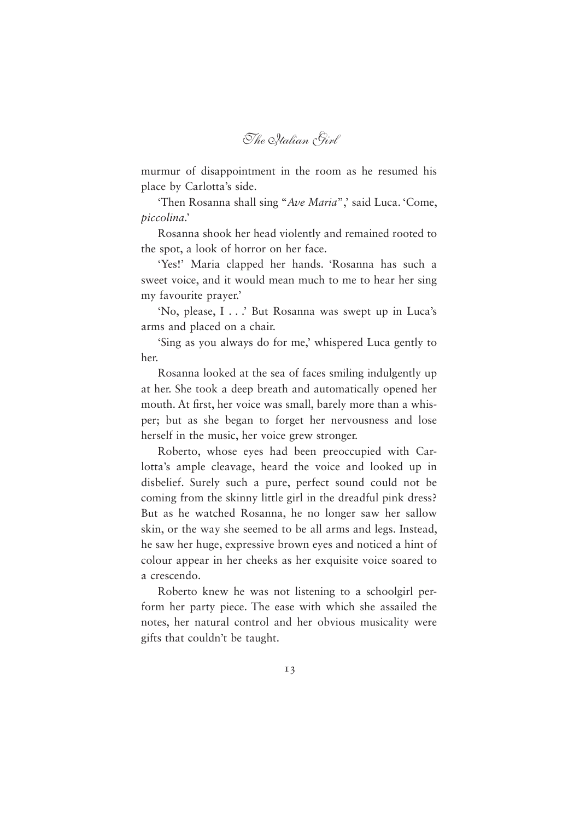*The Italian Girl*

murmur of disappointment in the room as he resumed his place by Carlotta's side.

'Then Rosanna shall sing "Ave Maria",' said Luca. 'Come, *piccolina*.'

Rosanna shook her head violently and remained rooted to the spot, a look of horror on her face.

'Yes!' Maria clapped her hands. 'Rosanna has such a sweet voice, and it would mean much to me to hear her sing my favourite prayer.'

'No, please, I . . .' But Rosanna was swept up in Luca's arms and placed on a chair.

'Sing as you always do for me,' whispered Luca gently to her.

Rosanna looked at the sea of faces smiling indulgently up at her. She took a deep breath and automatically opened her mouth. At first, her voice was small, barely more than a whisper; but as she began to forget her nervousness and lose herself in the music, her voice grew stronger.

Roberto, whose eyes had been preoccupied with Carlotta's ample cleavage, heard the voice and looked up in disbelief. Surely such a pure, perfect sound could not be coming from the skinny little girl in the dreadful pink dress? But as he watched Rosanna, he no longer saw her sallow skin, or the way she seemed to be all arms and legs. Instead, he saw her huge, expressive brown eyes and noticed a hint of colour appear in her cheeks as her exquisite voice soared to a crescendo.

Roberto knew he was not listening to a schoolgirl perform her party piece. The ease with which she assailed the notes, her natural control and her obvious musicality were gifts that couldn't be taught.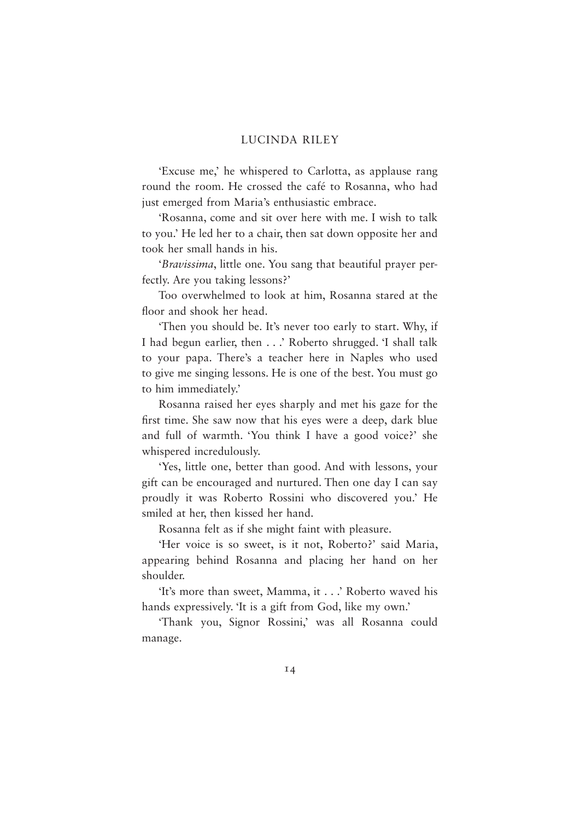'Excuse me,' he whispered to Carlotta, as applause rang round the room. He crossed the café to Rosanna, who had just emerged from Maria's enthusiastic embrace.

'Rosanna, come and sit over here with me. I wish to talk to you.' He led her to a chair, then sat down opposite her and took her small hands in his.

'*Bravissima*, little one. You sang that beautiful prayer perfectly. Are you taking lessons?'

Too overwhelmed to look at him, Rosanna stared at the floor and shook her head.

'Then you should be. It's never too early to start. Why, if I had begun earlier, then . . .' Roberto shrugged. 'I shall talk to your papa. There's a teacher here in Naples who used to give me singing lessons. He is one of the best. You must go to him immediately.'

Rosanna raised her eyes sharply and met his gaze for the first time. She saw now that his eyes were a deep, dark blue and full of warmth. 'You think I have a good voice?' she whispered incredulously.

'Yes, little one, better than good. And with lessons, your gift can be encouraged and nurtured. Then one day I can say proudly it was Roberto Rossini who discovered you.' He smiled at her, then kissed her hand.

Rosanna felt as if she might faint with pleasure.

'Her voice is so sweet, is it not, Roberto?' said Maria, appearing behind Rosanna and placing her hand on her shoulder.

'It's more than sweet, Mamma, it . . .' Roberto waved his hands expressively. 'It is a gift from God, like my own.'

'Thank you, Signor Rossini,' was all Rosanna could manage.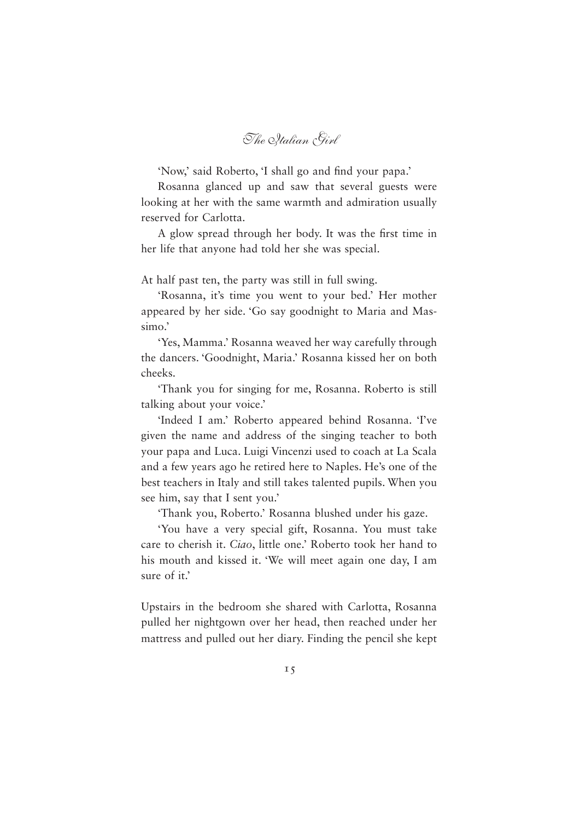*The Italian Girl*

'Now,' said Roberto, 'I shall go and find your papa.'

Rosanna glanced up and saw that several guests were looking at her with the same warmth and admiration usually reserved for Carlotta.

A glow spread through her body. It was the first time in her life that anyone had told her she was special.

At half past ten, the party was still in full swing.

'Rosanna, it's time you went to your bed.' Her mother appeared by her side. 'Go say goodnight to Maria and Massimo.'

'Yes, Mamma.' Rosanna weaved her way carefully through the dancers. 'Goodnight, Maria.' Rosanna kissed her on both cheeks.

'Thank you for singing for me, Rosanna. Roberto is still talking about your voice.'

'Indeed I am.' Roberto appeared behind Rosanna. 'I've given the name and address of the singing teacher to both your papa and Luca. Luigi Vincenzi used to coach at La Scala and a few years ago he retired here to Naples. He's one of the best teachers in Italy and still takes talented pupils. When you see him, say that I sent you.'

'Thank you, Roberto.' Rosanna blushed under his gaze.

'You have a very special gift, Rosanna. You must take care to cherish it. *Ciao*, little one.' Roberto took her hand to his mouth and kissed it. 'We will meet again one day, I am sure of it.'

Upstairs in the bedroom she shared with Carlotta, Rosanna pulled her nightgown over her head, then reached under her mattress and pulled out her diary. Finding the pencil she kept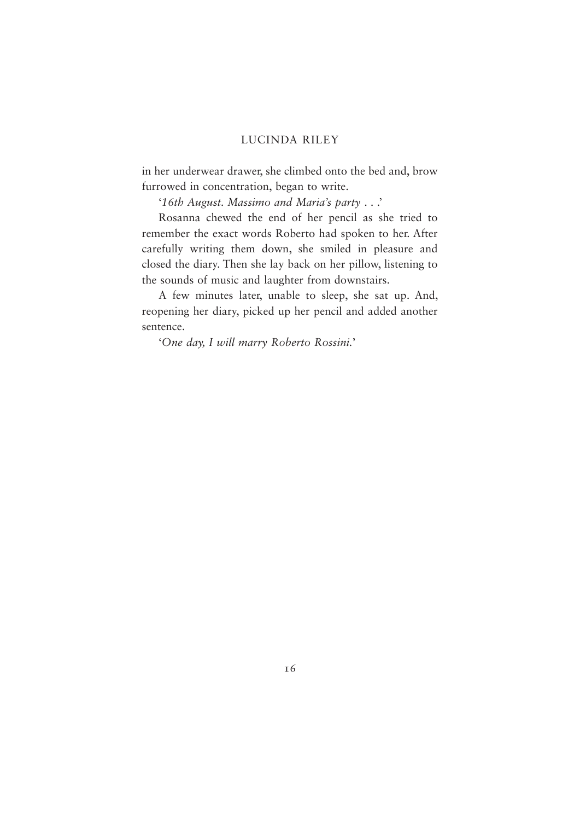in her underwear drawer, she climbed onto the bed and, brow furrowed in concentration, began to write.

'*16th August. Massimo and Maria's party* . . .'

Rosanna chewed the end of her pencil as she tried to remember the exact words Roberto had spoken to her. After carefully writing them down, she smiled in pleasure and closed the diary. Then she lay back on her pillow, listening to the sounds of music and laughter from downstairs.

A few minutes later, unable to sleep, she sat up. And, reopening her diary, picked up her pencil and added another sentence.

'*One day, I will marry Roberto Rossini.*'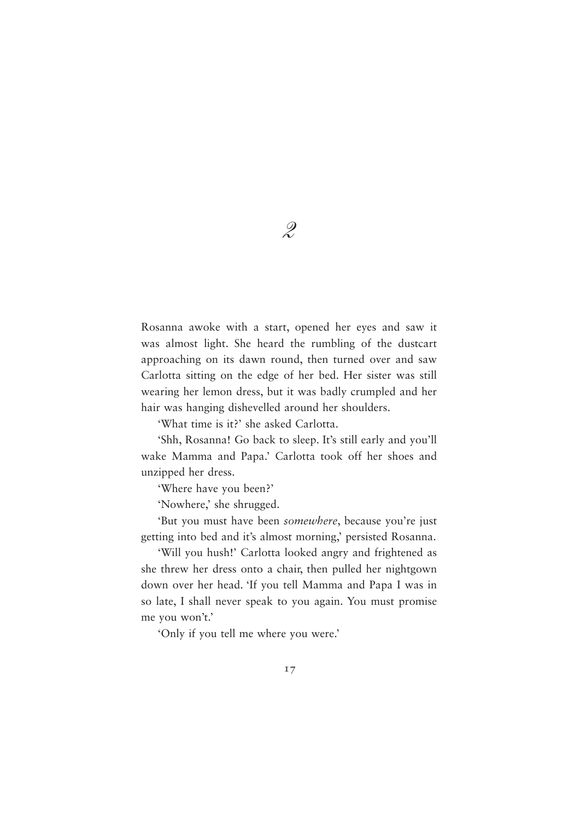Rosanna awoke with a start, opened her eyes and saw it was almost light. She heard the rumbling of the dustcart approaching on its dawn round, then turned over and saw Carlotta sitting on the edge of her bed. Her sister was still wearing her lemon dress, but it was badly crumpled and her hair was hanging dishevelled around her shoulders.

'What time is it?' she asked Carlotta.

'Shh, Rosanna! Go back to sleep. It's still early and you'll wake Mamma and Papa.' Carlotta took off her shoes and unzipped her dress.

'Where have you been?'

'Nowhere,' she shrugged.

'But you must have been *somewhere*, because you're just getting into bed and it's almost morning,' persisted Rosanna.

'Will you hush!' Carlotta looked angry and frightened as she threw her dress onto a chair, then pulled her nightgown down over her head. 'If you tell Mamma and Papa I was in so late, I shall never speak to you again. You must promise me you won't.'

'Only if you tell me where you were.'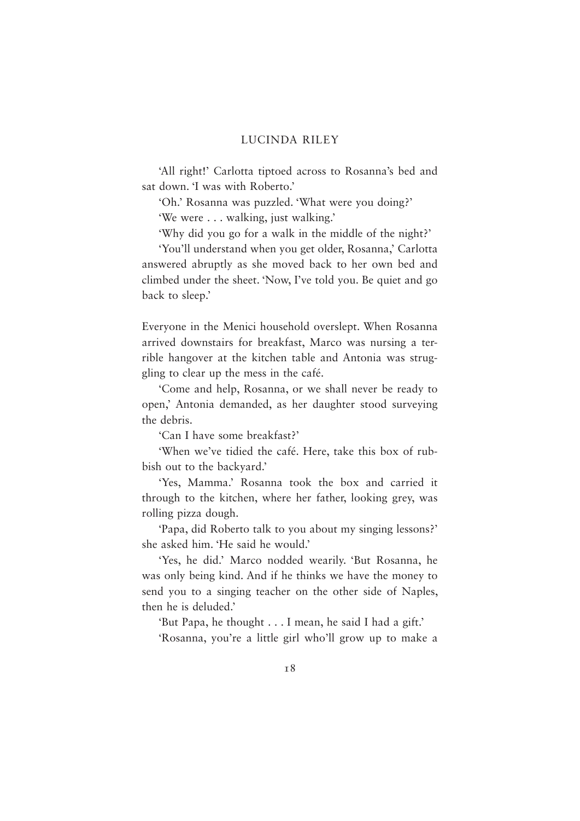'All right!' Carlotta tiptoed across to Rosanna's bed and sat down. 'I was with Roberto.'

'Oh.' Rosanna was puzzled. 'What were you doing?'

'We were . . . walking, just walking.'

'Why did you go for a walk in the middle of the night?'

'You'll understand when you get older, Rosanna,' Carlotta answered abruptly as she moved back to her own bed and climbed under the sheet. 'Now, I've told you. Be quiet and go back to sleep.'

Everyone in the Menici household overslept. When Rosanna arrived downstairs for breakfast, Marco was nursing a terrible hangover at the kitchen table and Antonia was struggling to clear up the mess in the café.

'Come and help, Rosanna, or we shall never be ready to open,' Antonia demanded, as her daughter stood surveying the debris.

'Can I have some breakfast?'

'When we've tidied the café. Here, take this box of rubbish out to the backyard.'

'Yes, Mamma.' Rosanna took the box and carried it through to the kitchen, where her father, looking grey, was rolling pizza dough.

'Papa, did Roberto talk to you about my singing lessons?' she asked him. 'He said he would.'

'Yes, he did.' Marco nodded wearily. 'But Rosanna, he was only being kind. And if he thinks we have the money to send you to a singing teacher on the other side of Naples, then he is deluded.'

'But Papa, he thought . . . I mean, he said I had a gift.'

'Rosanna, you're a little girl who'll grow up to make a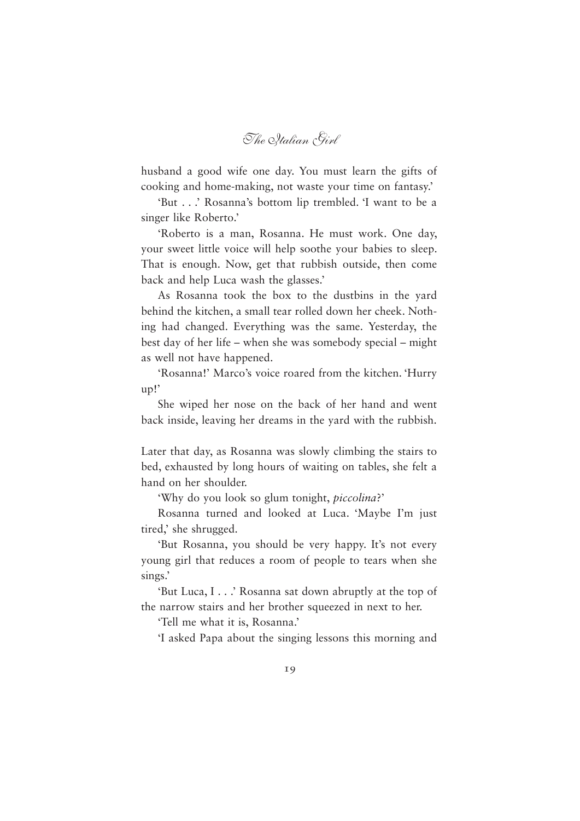*The Italian Girl*

husband a good wife one day. You must learn the gifts of cooking and home-making, not waste your time on fantasy.'

'But . . .' Rosanna's bottom lip trembled. 'I want to be a singer like Roberto.'

'Roberto is a man, Rosanna. He must work. One day, your sweet little voice will help soothe your babies to sleep. That is enough. Now, get that rubbish outside, then come back and help Luca wash the glasses.'

As Rosanna took the box to the dustbins in the yard behind the kitchen, a small tear rolled down her cheek. Nothing had changed. Everything was the same. Yesterday, the best day of her life – when she was somebody special – might as well not have happened.

'Rosanna!' Marco's voice roared from the kitchen. 'Hurry up!'

She wiped her nose on the back of her hand and went back inside, leaving her dreams in the yard with the rubbish.

Later that day, as Rosanna was slowly climbing the stairs to bed, exhausted by long hours of waiting on tables, she felt a hand on her shoulder.

'Why do you look so glum tonight, *piccolina*?'

Rosanna turned and looked at Luca. 'Maybe I'm just tired,' she shrugged.

'But Rosanna, you should be very happy. It's not every young girl that reduces a room of people to tears when she sings.'

'But Luca, I . . .' Rosanna sat down abruptly at the top of the narrow stairs and her brother squeezed in next to her.

'Tell me what it is, Rosanna.'

'I asked Papa about the singing lessons this morning and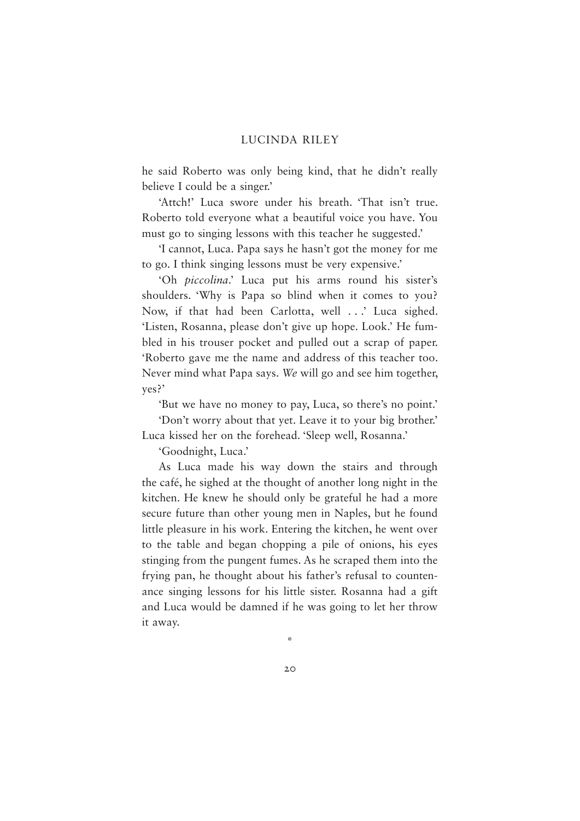he said Roberto was only being kind, that he didn't really believe I could be a singer.'

'Attch!' Luca swore under his breath. 'That isn't true. Roberto told everyone what a beautiful voice you have. You must go to singing lessons with this teacher he suggested.'

'I cannot, Luca. Papa says he hasn't got the money for me to go. I think singing lessons must be very expensive.'

'Oh *piccolina*.' Luca put his arms round his sister's shoulders. 'Why is Papa so blind when it comes to you? Now, if that had been Carlotta, well . . .' Luca sighed. 'Listen, Rosanna, please don't give up hope. Look.' He fumbled in his trouser pocket and pulled out a scrap of paper. 'Roberto gave me the name and address of this teacher too. Never mind what Papa says. *We* will go and see him together, yes?'

'But we have no money to pay, Luca, so there's no point.'

'Don't worry about that yet. Leave it to your big brother.' Luca kissed her on the forehead. 'Sleep well, Rosanna.'

'Goodnight, Luca.'

As Luca made his way down the stairs and through the café, he sighed at the thought of another long night in the kitchen. He knew he should only be grateful he had a more secure future than other young men in Naples, but he found little pleasure in his work. Entering the kitchen, he went over to the table and began chopping a pile of onions, his eyes stinging from the pungent fumes. As he scraped them into the frying pan, he thought about his father's refusal to countenance singing lessons for his little sister. Rosanna had a gift and Luca would be damned if he was going to let her throw it away.

\*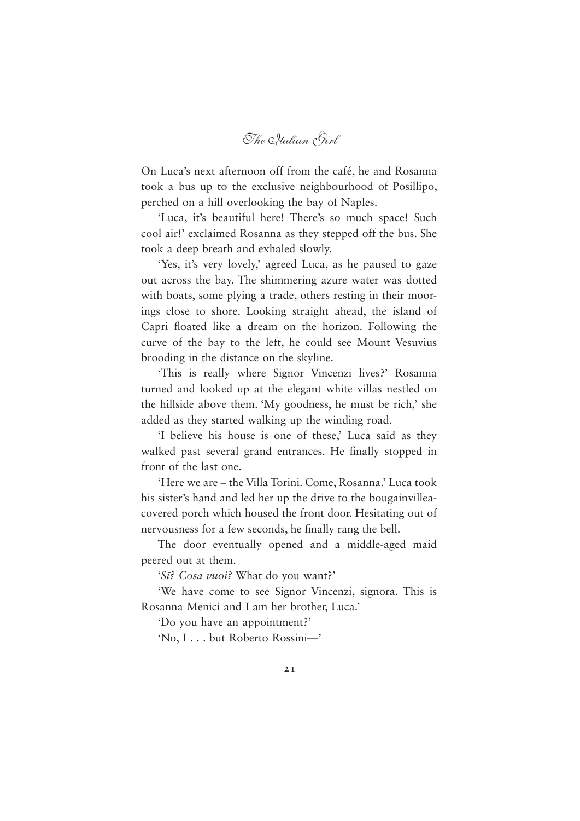*The Italian Girl*

On Luca's next afternoon off from the café, he and Rosanna took a bus up to the exclusive neighbourhood of Posillipo, perched on a hill overlooking the bay of Naples.

'Luca, it's beautiful here! There's so much space! Such cool air!' exclaimed Rosanna as they stepped off the bus. She took a deep breath and exhaled slowly.

'Yes, it's very lovely,' agreed Luca, as he paused to gaze out across the bay. The shimmering azure water was dotted with boats, some plying a trade, others resting in their moorings close to shore. Looking straight ahead, the island of Capri floated like a dream on the horizon. Following the curve of the bay to the left, he could see Mount Vesuvius brooding in the distance on the skyline.

'This is really where Signor Vincenzi lives?' Rosanna turned and looked up at the elegant white villas nestled on the hillside above them. 'My goodness, he must be rich,' she added as they started walking up the winding road.

'I believe his house is one of these,' Luca said as they walked past several grand entrances. He finally stopped in front of the last one.

'Here we are – the Villa Torini. Come, Rosanna.' Luca took his sister's hand and led her up the drive to the bougainvilleacovered porch which housed the front door. Hesitating out of nervousness for a few seconds, he finally rang the bell.

The door eventually opened and a middle-aged maid peered out at them.

'*Sıˉ? Cosa vuoi?* What do you want?'

'We have come to see Signor Vincenzi, signora. This is Rosanna Menici and I am her brother, Luca.'

'Do you have an appointment?'

'No, I . . . but Roberto Rossini—'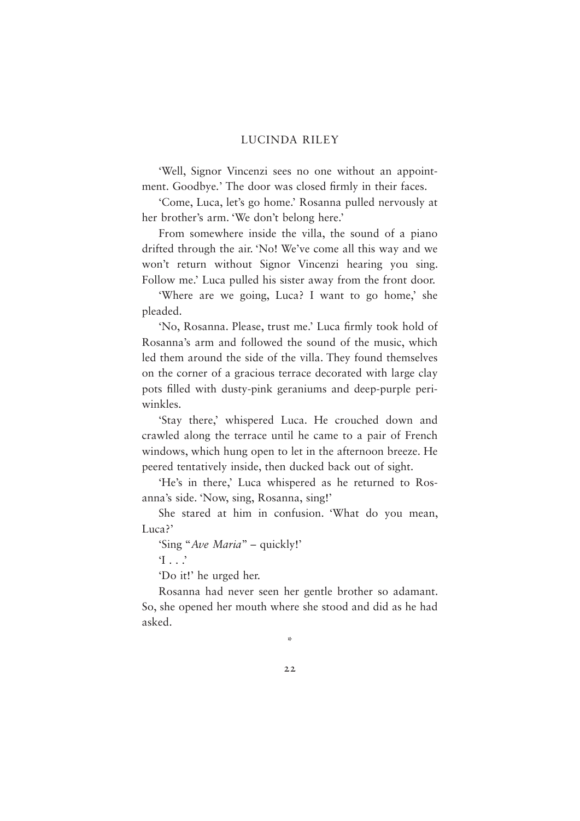'Well, Signor Vincenzi sees no one without an appointment. Goodbye.' The door was closed firmly in their faces.

'Come, Luca, let's go home.' Rosanna pulled nervously at her brother's arm. 'We don't belong here.'

From somewhere inside the villa, the sound of a piano drifted through the air. 'No! We've come all this way and we won't return without Signor Vincenzi hearing you sing. Follow me.' Luca pulled his sister away from the front door.

'Where are we going, Luca? I want to go home,' she pleaded.

'No, Rosanna. Please, trust me.' Luca firmly took hold of Rosanna's arm and followed the sound of the music, which led them around the side of the villa. They found themselves on the corner of a gracious terrace decorated with large clay pots filled with dusty-pink geraniums and deep-purple periwinkles.

'Stay there,' whispered Luca. He crouched down and crawled along the terrace until he came to a pair of French windows, which hung open to let in the afternoon breeze. He peered tentatively inside, then ducked back out of sight.

'He's in there,' Luca whispered as he returned to Rosanna's side. 'Now, sing, Rosanna, sing!'

She stared at him in confusion. 'What do you mean, Luca?'

'Sing "*Ave Maria*" – quickly!'

'I . . .'

'Do it!' he urged her.

Rosanna had never seen her gentle brother so adamant. So, she opened her mouth where she stood and did as he had asked.

\*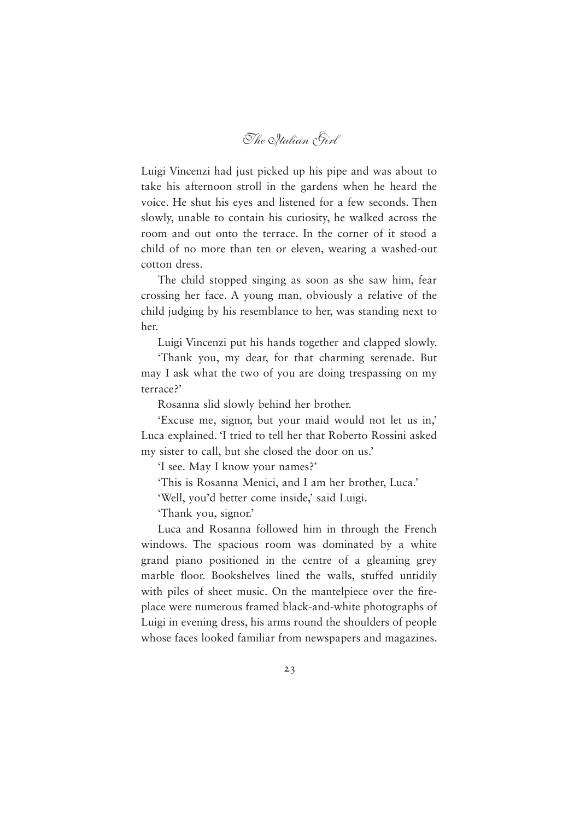*The Italian Girl*

Luigi Vincenzi had just picked up his pipe and was about to take his afternoon stroll in the gardens when he heard the voice. He shut his eyes and listened for a few seconds. Then slowly, unable to contain his curiosity, he walked across the room and out onto the terrace. In the corner of it stood a child of no more than ten or eleven, wearing a washed-out cotton dress.

The child stopped singing as soon as she saw him, fear crossing her face. A young man, obviously a relative of the child judging by his resemblance to her, was standing next to her.

Luigi Vincenzi put his hands together and clapped slowly.

'Thank you, my dear, for that charming serenade. But may I ask what the two of you are doing trespassing on my terrace?'

Rosanna slid slowly behind her brother.

'Excuse me, signor, but your maid would not let us in,' Luca explained. 'I tried to tell her that Roberto Rossini asked my sister to call, but she closed the door on us.'

'I see. May I know your names?'

'This is Rosanna Menici, and I am her brother, Luca.'

'Well, you'd better come inside,' said Luigi.

'Thank you, signor.'

Luca and Rosanna followed him in through the French windows. The spacious room was dominated by a white grand piano positioned in the centre of a gleaming grey marble floor. Bookshelves lined the walls, stuffed untidily with piles of sheet music. On the mantelpiece over the fireplace were numerous framed black-and-white photographs of Luigi in evening dress, his arms round the shoulders of people whose faces looked familiar from newspapers and magazines.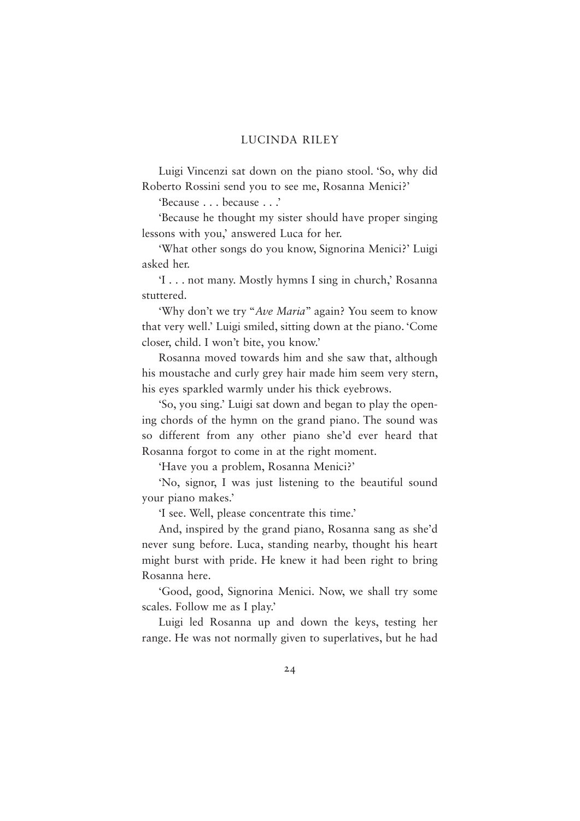Luigi Vincenzi sat down on the piano stool. 'So, why did Roberto Rossini send you to see me, Rosanna Menici?'

'Because . . . because . . .'

'Because he thought my sister should have proper singing lessons with you,' answered Luca for her.

'What other songs do you know, Signorina Menici?' Luigi asked her.

'I . . . not many. Mostly hymns I sing in church,' Rosanna stuttered.

'Why don't we try "*Ave Maria*" again? You seem to know that very well.' Luigi smiled, sitting down at the piano. 'Come closer, child. I won't bite, you know.'

Rosanna moved towards him and she saw that, although his moustache and curly grey hair made him seem very stern, his eyes sparkled warmly under his thick eyebrows.

'So, you sing.' Luigi sat down and began to play the opening chords of the hymn on the grand piano. The sound was so different from any other piano she'd ever heard that Rosanna forgot to come in at the right moment.

'Have you a problem, Rosanna Menici?'

'No, signor, I was just listening to the beautiful sound your piano makes.'

'I see. Well, please concentrate this time.'

And, inspired by the grand piano, Rosanna sang as she'd never sung before. Luca, standing nearby, thought his heart might burst with pride. He knew it had been right to bring Rosanna here.

'Good, good, Signorina Menici. Now, we shall try some scales. Follow me as I play.'

Luigi led Rosanna up and down the keys, testing her range. He was not normally given to superlatives, but he had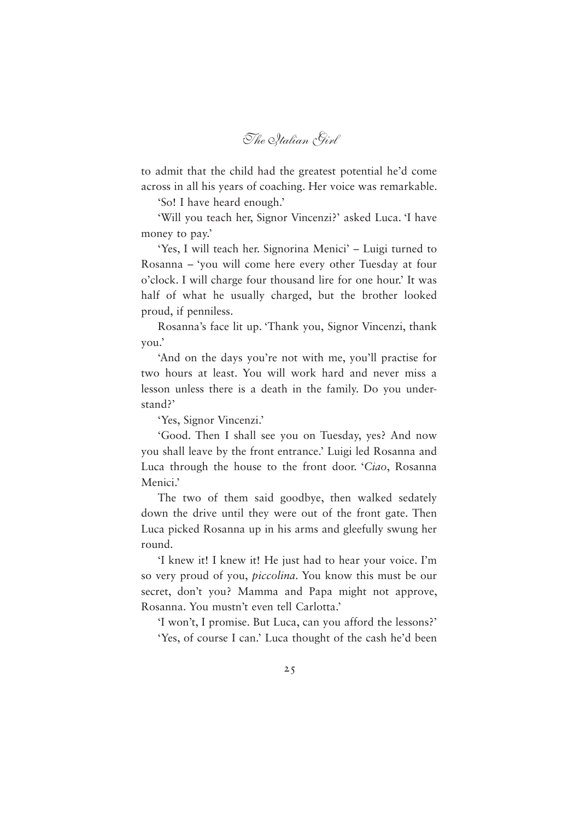*The Italian Girl*

to admit that the child had the greatest potential he'd come across in all his years of coaching. Her voice was remarkable.

'So! I have heard enough.'

'Will you teach her, Signor Vincenzi?' asked Luca. 'I have money to pay.'

'Yes, I will teach her. Signorina Menici' – Luigi turned to Rosanna – 'you will come here every other Tuesday at four o'clock. I will charge four thousand lire for one hour.' It was half of what he usually charged, but the brother looked proud, if penniless.

Rosanna's face lit up. 'Thank you, Signor Vincenzi, thank you.'

'And on the days you're not with me, you'll practise for two hours at least. You will work hard and never miss a lesson unless there is a death in the family. Do you understand?'

'Yes, Signor Vincenzi.'

'Good. Then I shall see you on Tuesday, yes? And now you shall leave by the front entrance.' Luigi led Rosanna and Luca through the house to the front door. '*Ciao*, Rosanna Menici.'

The two of them said goodbye, then walked sedately down the drive until they were out of the front gate. Then Luca picked Rosanna up in his arms and gleefully swung her round.

'I knew it! I knew it! He just had to hear your voice. I'm so very proud of you, *piccolina*. You know this must be our secret, don't you? Mamma and Papa might not approve, Rosanna. You mustn't even tell Carlotta.'

'I won't, I promise. But Luca, can you afford the lessons?' 'Yes, of course I can.' Luca thought of the cash he'd been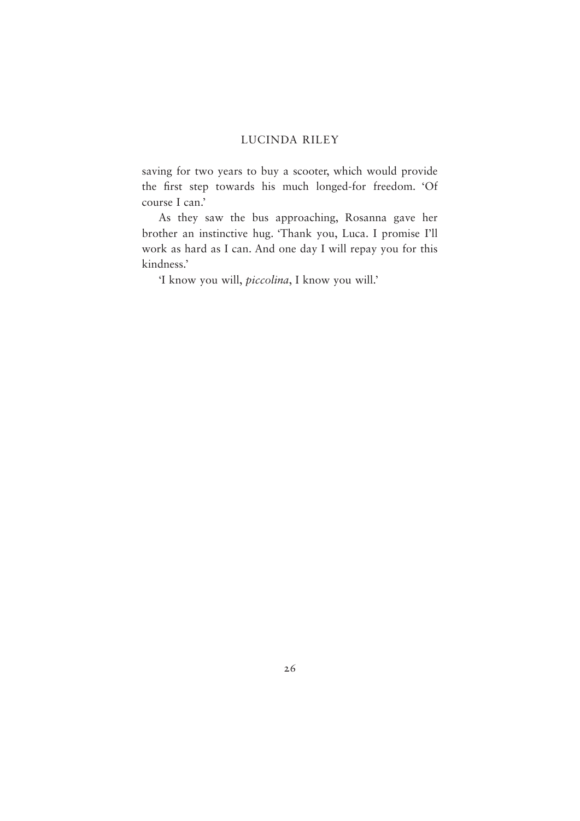saving for two years to buy a scooter, which would provide the first step towards his much longed-for freedom. 'Of course I can.'

As they saw the bus approaching, Rosanna gave her brother an instinctive hug. 'Thank you, Luca. I promise I'll work as hard as I can. And one day I will repay you for this kindness.'

'I know you will, *piccolina*, I know you will.'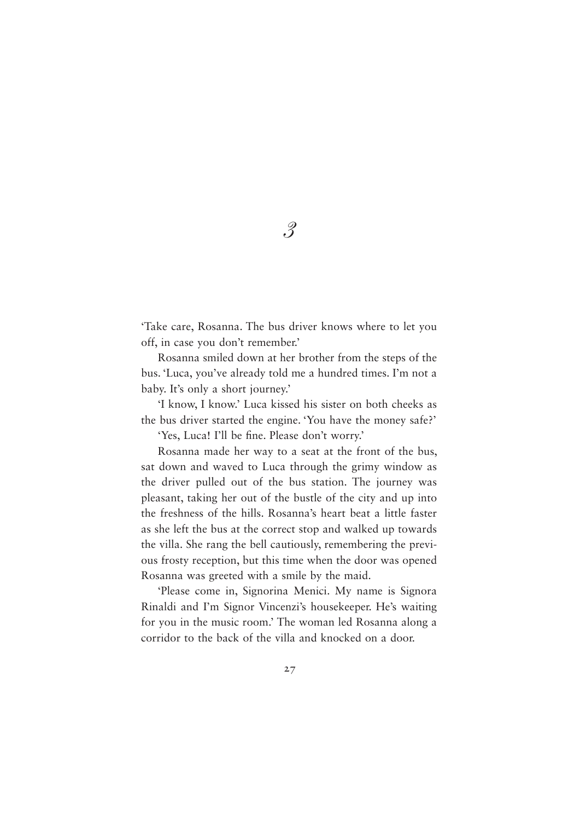'Take care, Rosanna. The bus driver knows where to let you off, in case you don't remember.'

Rosanna smiled down at her brother from the steps of the bus. 'Luca, you've already told me a hundred times. I'm not a baby. It's only a short journey.'

'I know, I know.' Luca kissed his sister on both cheeks as the bus driver started the engine. 'You have the money safe?'

'Yes, Luca! I'll be fine. Please don't worry.'

Rosanna made her way to a seat at the front of the bus, sat down and waved to Luca through the grimy window as the driver pulled out of the bus station. The journey was pleasant, taking her out of the bustle of the city and up into the freshness of the hills. Rosanna's heart beat a little faster as she left the bus at the correct stop and walked up towards the villa. She rang the bell cautiously, remembering the previous frosty reception, but this time when the door was opened Rosanna was greeted with a smile by the maid.

'Please come in, Signorina Menici. My name is Signora Rinaldi and I'm Signor Vincenzi's housekeeper. He's waiting for you in the music room.' The woman led Rosanna along a corridor to the back of the villa and knocked on a door.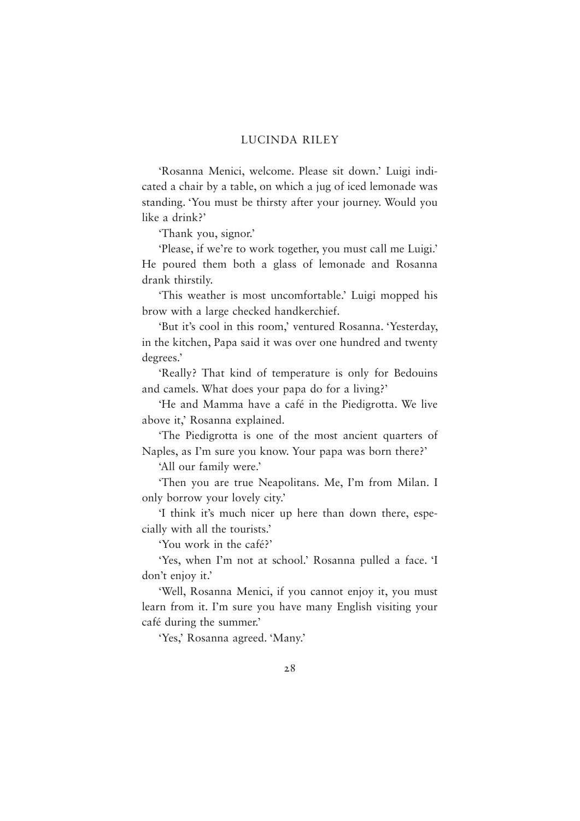'Rosanna Menici, welcome. Please sit down.' Luigi indicated a chair by a table, on which a jug of iced lemonade was standing. 'You must be thirsty after your journey. Would you like a drink?'

'Thank you, signor.'

'Please, if we're to work together, you must call me Luigi.' He poured them both a glass of lemonade and Rosanna drank thirstily.

'This weather is most uncomfortable.' Luigi mopped his brow with a large checked handkerchief.

'But it's cool in this room,' ventured Rosanna. 'Yesterday, in the kitchen, Papa said it was over one hundred and twenty degrees.'

'Really? That kind of temperature is only for Bedouins and camels. What does your papa do for a living?'

'He and Mamma have a café in the Piedigrotta. We live above it,' Rosanna explained.

'The Piedigrotta is one of the most ancient quarters of Naples, as I'm sure you know. Your papa was born there?'

'All our family were.'

'Then you are true Neapolitans. Me, I'm from Milan. I only borrow your lovely city.'

'I think it's much nicer up here than down there, especially with all the tourists.'

'You work in the café?'

'Yes, when I'm not at school.' Rosanna pulled a face. 'I don't enjoy it.'

'Well, Rosanna Menici, if you cannot enjoy it, you must learn from it. I'm sure you have many English visiting your café during the summer.'

'Yes,' Rosanna agreed. 'Many.'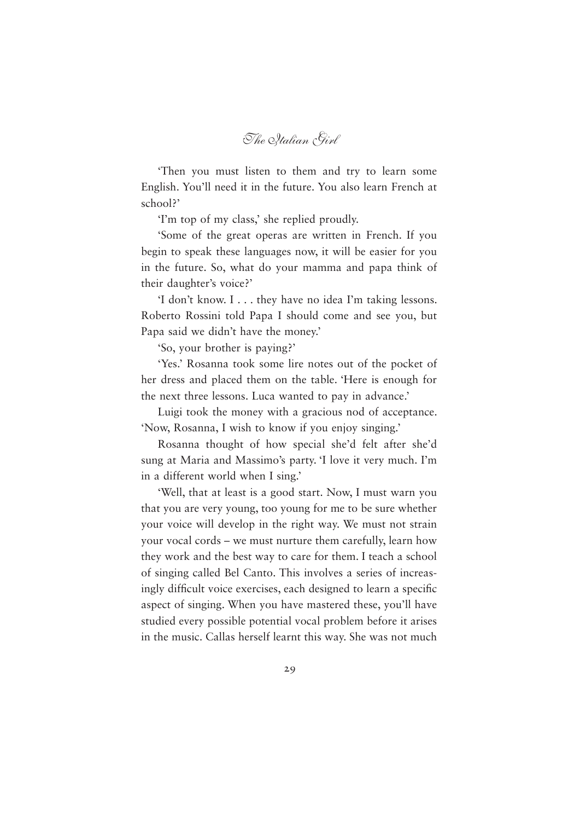*The Italian Girl*

'Then you must listen to them and try to learn some English. You'll need it in the future. You also learn French at school?'

'I'm top of my class,' she replied proudly.

'Some of the great operas are written in French. If you begin to speak these languages now, it will be easier for you in the future. So, what do your mamma and papa think of their daughter's voice?'

'I don't know. I . . . they have no idea I'm taking lessons. Roberto Rossini told Papa I should come and see you, but Papa said we didn't have the money.'

'So, your brother is paying?'

'Yes.' Rosanna took some lire notes out of the pocket of her dress and placed them on the table. 'Here is enough for the next three lessons. Luca wanted to pay in advance.'

Luigi took the money with a gracious nod of acceptance. 'Now, Rosanna, I wish to know if you enjoy singing.'

Rosanna thought of how special she'd felt after she'd sung at Maria and Massimo's party. 'I love it very much. I'm in a different world when I sing.'

'Well, that at least is a good start. Now, I must warn you that you are very young, too young for me to be sure whether your voice will develop in the right way. We must not strain your vocal cords – we must nurture them carefully, learn how they work and the best way to care for them. I teach a school of singing called Bel Canto. This involves a series of increasingly difficult voice exercises, each designed to learn a specific aspect of singing. When you have mastered these, you'll have studied every possible potential vocal problem before it arises in the music. Callas herself learnt this way. She was not much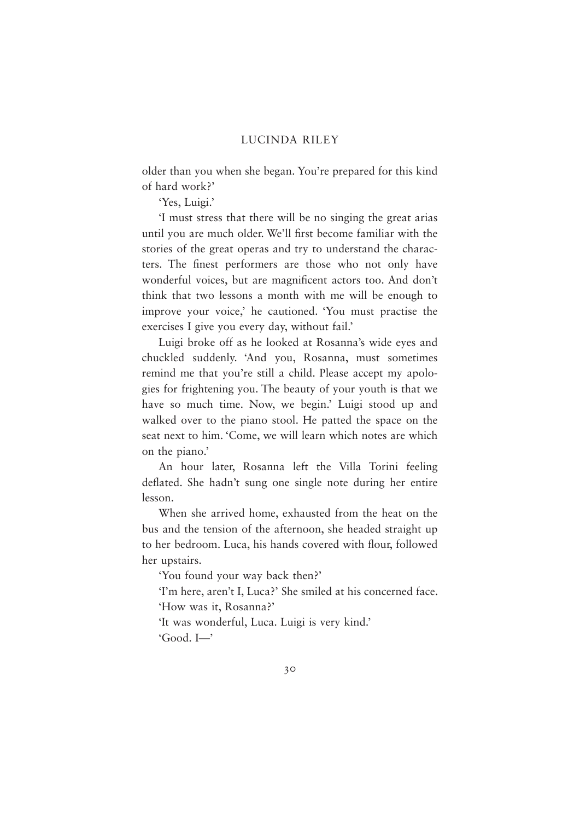older than you when she began. You're prepared for this kind of hard work?'

'Yes, Luigi.'

'I must stress that there will be no singing the great arias until you are much older. We'll first become familiar with the stories of the great operas and try to understand the characters. The finest performers are those who not only have wonderful voices, but are magnificent actors too. And don't think that two lessons a month with me will be enough to improve your voice,' he cautioned. 'You must practise the exercises I give you every day, without fail.'

Luigi broke off as he looked at Rosanna's wide eyes and chuckled suddenly. 'And you, Rosanna, must sometimes remind me that you're still a child. Please accept my apologies for frightening you. The beauty of your youth is that we have so much time. Now, we begin.' Luigi stood up and walked over to the piano stool. He patted the space on the seat next to him. 'Come, we will learn which notes are which on the piano.'

An hour later, Rosanna left the Villa Torini feeling deflated. She hadn't sung one single note during her entire lesson.

When she arrived home, exhausted from the heat on the bus and the tension of the afternoon, she headed straight up to her bedroom. Luca, his hands covered with flour, followed her upstairs.

'You found your way back then?'

'I'm here, aren't I, Luca?' She smiled at his concerned face. 'How was it, Rosanna?'

'It was wonderful, Luca. Luigi is very kind.'

'Good. I—'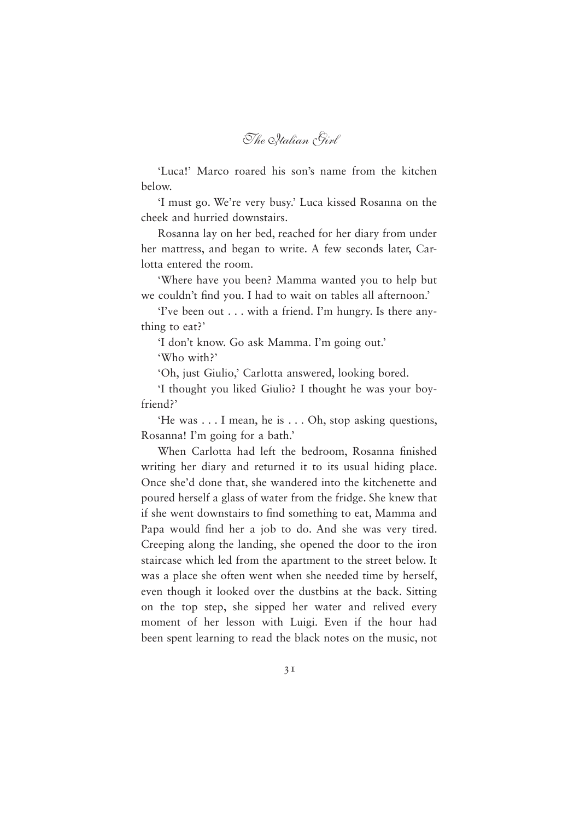*The Italian Girl*

'Luca!' Marco roared his son's name from the kitchen below.

'I must go. We're very busy.' Luca kissed Rosanna on the cheek and hurried downstairs.

Rosanna lay on her bed, reached for her diary from under her mattress, and began to write. A few seconds later, Carlotta entered the room.

'Where have you been? Mamma wanted you to help but we couldn't find you. I had to wait on tables all afternoon.'

'I've been out . . . with a friend. I'm hungry. Is there anything to eat?'

'I don't know. Go ask Mamma. I'm going out.' 'Who with?'

'Oh, just Giulio,' Carlotta answered, looking bored.

'I thought you liked Giulio? I thought he was your boyfriend?'

'He was . . . I mean, he is . . . Oh, stop asking questions, Rosanna! I'm going for a bath.'

When Carlotta had left the bedroom, Rosanna finished writing her diary and returned it to its usual hiding place. Once she'd done that, she wandered into the kitchenette and poured herself a glass of water from the fridge. She knew that if she went downstairs to find something to eat, Mamma and Papa would find her a job to do. And she was very tired. Creeping along the landing, she opened the door to the iron staircase which led from the apartment to the street below. It was a place she often went when she needed time by herself, even though it looked over the dustbins at the back. Sitting on the top step, she sipped her water and relived every moment of her lesson with Luigi. Even if the hour had been spent learning to read the black notes on the music, not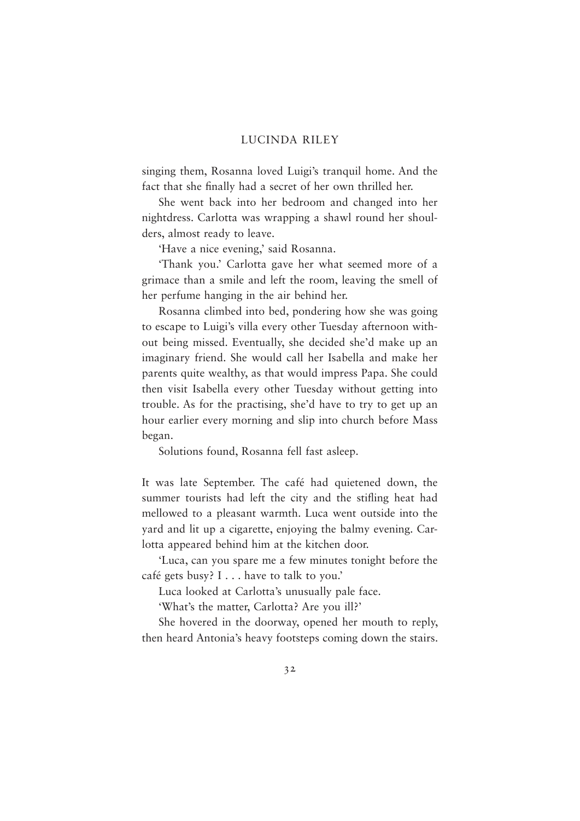singing them, Rosanna loved Luigi's tranquil home. And the fact that she finally had a secret of her own thrilled her.

She went back into her bedroom and changed into her nightdress. Carlotta was wrapping a shawl round her shoulders, almost ready to leave.

'Have a nice evening,' said Rosanna.

'Thank you.' Carlotta gave her what seemed more of a grimace than a smile and left the room, leaving the smell of her perfume hanging in the air behind her.

Rosanna climbed into bed, pondering how she was going to escape to Luigi's villa every other Tuesday afternoon without being missed. Eventually, she decided she'd make up an imaginary friend. She would call her Isabella and make her parents quite wealthy, as that would impress Papa. She could then visit Isabella every other Tuesday without getting into trouble. As for the practising, she'd have to try to get up an hour earlier every morning and slip into church before Mass began.

Solutions found, Rosanna fell fast asleep.

It was late September. The café had quietened down, the summer tourists had left the city and the stifling heat had mellowed to a pleasant warmth. Luca went outside into the yard and lit up a cigarette, enjoying the balmy evening. Carlotta appeared behind him at the kitchen door.

'Luca, can you spare me a few minutes tonight before the café gets busy? I . . . have to talk to you.'

Luca looked at Carlotta's unusually pale face.

'What's the matter, Carlotta? Are you ill?'

She hovered in the doorway, opened her mouth to reply, then heard Antonia's heavy footsteps coming down the stairs.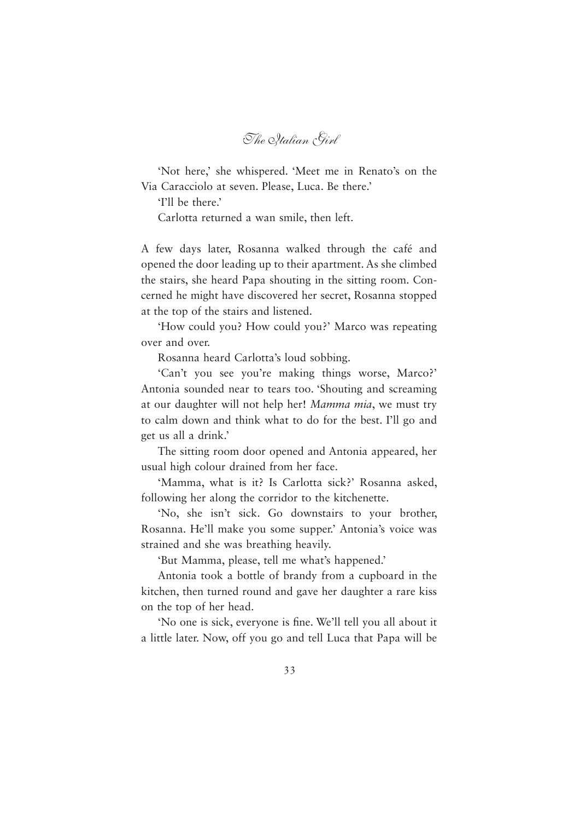*The Italian Girl*

'Not here,' she whispered. 'Meet me in Renato's on the Via Caracciolo at seven. Please, Luca. Be there.'

'I'll be there.'

Carlotta returned a wan smile, then left.

A few days later, Rosanna walked through the café and opened the door leading up to their apartment. As she climbed the stairs, she heard Papa shouting in the sitting room. Concerned he might have discovered her secret, Rosanna stopped at the top of the stairs and listened.

'How could you? How could you?' Marco was repeating over and over.

Rosanna heard Carlotta's loud sobbing.

'Can't you see you're making things worse, Marco?' Antonia sounded near to tears too. 'Shouting and screaming at our daughter will not help her! *Mamma mia*, we must try to calm down and think what to do for the best. I'll go and get us all a drink.'

The sitting room door opened and Antonia appeared, her usual high colour drained from her face.

'Mamma, what is it? Is Carlotta sick?' Rosanna asked, following her along the corridor to the kitchenette.

'No, she isn't sick. Go downstairs to your brother, Rosanna. He'll make you some supper.' Antonia's voice was strained and she was breathing heavily.

'But Mamma, please, tell me what's happened.'

Antonia took a bottle of brandy from a cupboard in the kitchen, then turned round and gave her daughter a rare kiss on the top of her head.

'No one is sick, everyone is fine. We'll tell you all about it a little later. Now, off you go and tell Luca that Papa will be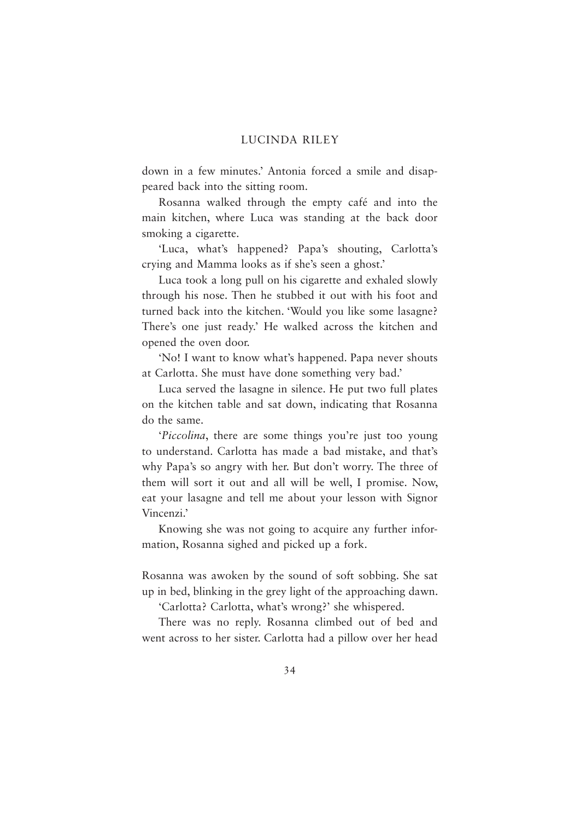down in a few minutes.' Antonia forced a smile and disappeared back into the sitting room.

Rosanna walked through the empty café and into the main kitchen, where Luca was standing at the back door smoking a cigarette.

'Luca, what's happened? Papa's shouting, Carlotta's crying and Mamma looks as if she's seen a ghost.'

Luca took a long pull on his cigarette and exhaled slowly through his nose. Then he stubbed it out with his foot and turned back into the kitchen. 'Would you like some lasagne? There's one just ready.' He walked across the kitchen and opened the oven door.

'No! I want to know what's happened. Papa never shouts at Carlotta. She must have done something very bad.'

Luca served the lasagne in silence. He put two full plates on the kitchen table and sat down, indicating that Rosanna do the same.

'*Piccolina*, there are some things you're just too young to understand. Carlotta has made a bad mistake, and that's why Papa's so angry with her. But don't worry. The three of them will sort it out and all will be well, I promise. Now, eat your lasagne and tell me about your lesson with Signor Vincenzi.'

Knowing she was not going to acquire any further information, Rosanna sighed and picked up a fork.

Rosanna was awoken by the sound of soft sobbing. She sat up in bed, blinking in the grey light of the approaching dawn.

'Carlotta? Carlotta, what's wrong?' she whispered.

There was no reply. Rosanna climbed out of bed and went across to her sister. Carlotta had a pillow over her head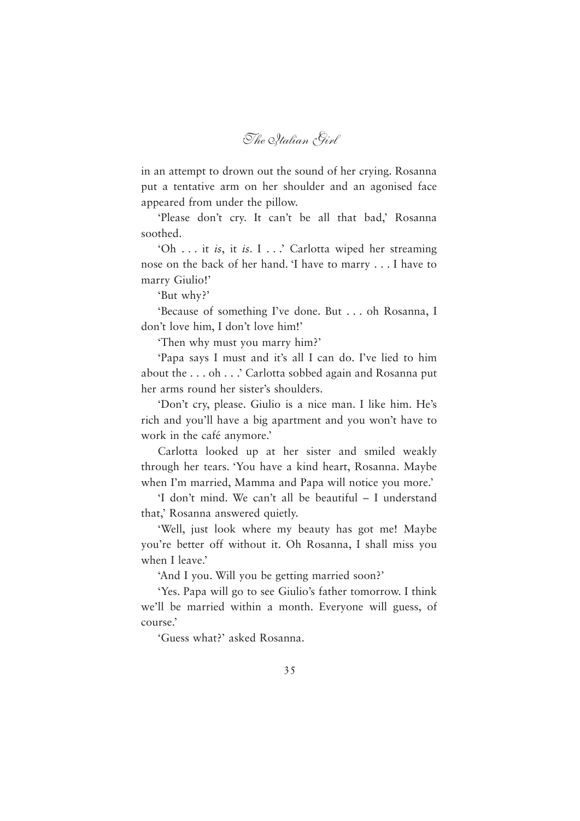*The Italian Girl*

in an attempt to drown out the sound of her crying. Rosanna put a tentative arm on her shoulder and an agonised face appeared from under the pillow.

'Please don't cry. It can't be all that bad,' Rosanna soothed.

'Oh . . . it *is*, it *is*. I . . .' Carlotta wiped her streaming nose on the back of her hand. 'I have to marry . . . I have to marry Giulio!'

'But why?'

'Because of something I've done. But . . . oh Rosanna, I don't love him, I don't love him!'

'Then why must you marry him?'

'Papa says I must and it's all I can do. I've lied to him about the . . . oh . . .' Carlotta sobbed again and Rosanna put her arms round her sister's shoulders.

'Don't cry, please. Giulio is a nice man. I like him. He's rich and you'll have a big apartment and you won't have to work in the café anymore.'

Carlotta looked up at her sister and smiled weakly through her tears. 'You have a kind heart, Rosanna. Maybe when I'm married, Mamma and Papa will notice you more.'

'I don't mind. We can't all be beautiful – I understand that,' Rosanna answered quietly.

'Well, just look where my beauty has got me! Maybe you're better off without it. Oh Rosanna, I shall miss you when I leave.'

'And I you. Will you be getting married soon?'

'Yes. Papa will go to see Giulio's father tomorrow. I think we'll be married within a month. Everyone will guess, of course.'

'Guess what?' asked Rosanna.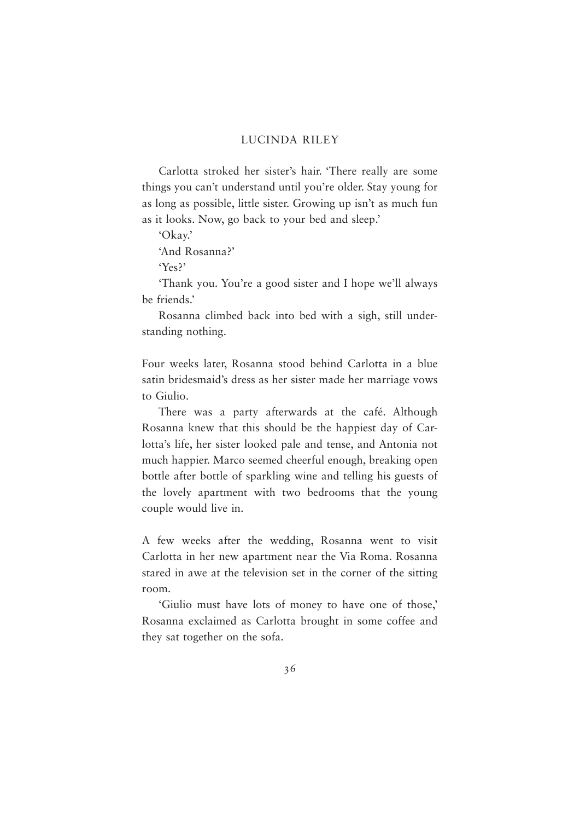Carlotta stroked her sister's hair. 'There really are some things you can't understand until you're older. Stay young for as long as possible, little sister. Growing up isn't as much fun as it looks. Now, go back to your bed and sleep.'

'Okay.'

'And Rosanna?'

'Yes?'

'Thank you. You're a good sister and I hope we'll always be friends.'

Rosanna climbed back into bed with a sigh, still understanding nothing.

Four weeks later, Rosanna stood behind Carlotta in a blue satin bridesmaid's dress as her sister made her marriage vows to Giulio.

There was a party afterwards at the café. Although Rosanna knew that this should be the happiest day of Carlotta's life, her sister looked pale and tense, and Antonia not much happier. Marco seemed cheerful enough, breaking open bottle after bottle of sparkling wine and telling his guests of the lovely apartment with two bedrooms that the young couple would live in.

A few weeks after the wedding, Rosanna went to visit Carlotta in her new apartment near the Via Roma. Rosanna stared in awe at the television set in the corner of the sitting room.

'Giulio must have lots of money to have one of those,' Rosanna exclaimed as Carlotta brought in some coffee and they sat together on the sofa.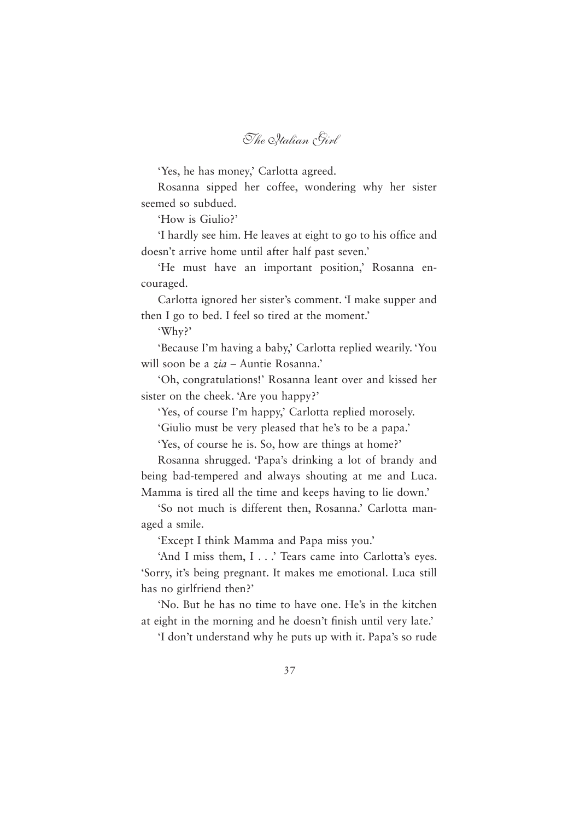*The Italian Girl*

'Yes, he has money,' Carlotta agreed.

Rosanna sipped her coffee, wondering why her sister seemed so subdued.

'How is Giulio?'

'I hardly see him. He leaves at eight to go to his office and doesn't arrive home until after half past seven.'

'He must have an important position,' Rosanna encouraged.

Carlotta ignored her sister's comment. 'I make supper and then I go to bed. I feel so tired at the moment.'

'Why?'

'Because I'm having a baby,' Carlotta replied wearily. 'You will soon be a *zia* – Auntie Rosanna.'

'Oh, congratulations!' Rosanna leant over and kissed her sister on the cheek. 'Are you happy?'

'Yes, of course I'm happy,' Carlotta replied morosely.

'Giulio must be very pleased that he's to be a papa.'

'Yes, of course he is. So, how are things at home?'

Rosanna shrugged. 'Papa's drinking a lot of brandy and being bad-tempered and always shouting at me and Luca. Mamma is tired all the time and keeps having to lie down.'

'So not much is different then, Rosanna.' Carlotta managed a smile.

'Except I think Mamma and Papa miss you.'

'And I miss them, I . . .' Tears came into Carlotta's eyes. 'Sorry, it's being pregnant. It makes me emotional. Luca still has no girlfriend then?'

'No. But he has no time to have one. He's in the kitchen at eight in the morning and he doesn't finish until very late.'

'I don't understand why he puts up with it. Papa's so rude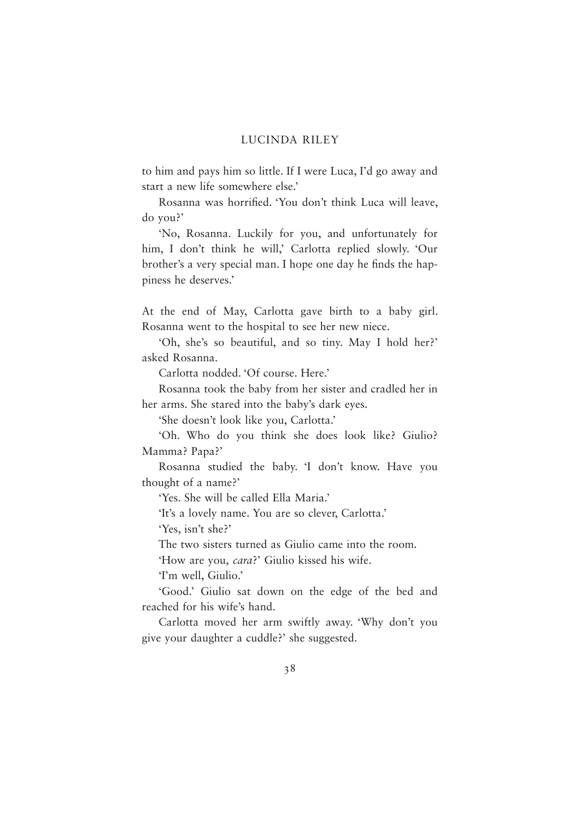to him and pays him so little. If I were Luca, I'd go away and start a new life somewhere else.'

Rosanna was horrified. 'You don't think Luca will leave, do you?'

'No, Rosanna. Luckily for you, and unfortunately for him, I don't think he will,' Carlotta replied slowly. 'Our brother's a very special man. I hope one day he finds the happiness he deserves.'

At the end of May, Carlotta gave birth to a baby girl. Rosanna went to the hospital to see her new niece.

'Oh, she's so beautiful, and so tiny. May I hold her?' asked Rosanna.

Carlotta nodded. 'Of course. Here.'

Rosanna took the baby from her sister and cradled her in her arms. She stared into the baby's dark eyes.

'She doesn't look like you, Carlotta.'

'Oh. Who do you think she does look like? Giulio? Mamma? Papa?'

Rosanna studied the baby. 'I don't know. Have you thought of a name?'

'Yes. She will be called Ella Maria.'

'It's a lovely name. You are so clever, Carlotta.'

'Yes, isn't she?'

The two sisters turned as Giulio came into the room.

'How are you, *cara*?' Giulio kissed his wife.

'I'm well, Giulio.'

'Good.' Giulio sat down on the edge of the bed and reached for his wife's hand.

Carlotta moved her arm swiftly away. 'Why don't you give your daughter a cuddle?' she suggested.